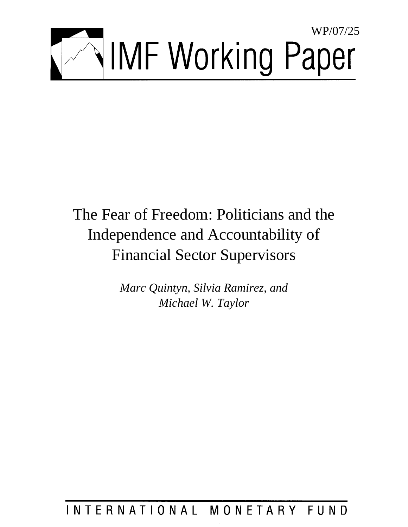

## The Fear of Freedom: Politicians and the Independence and Accountability of Financial Sector Supervisors

*Marc Quintyn, Silvia Ramirez, and Michael W. Taylor* 

### INTERNATIONAL MONETARY FUND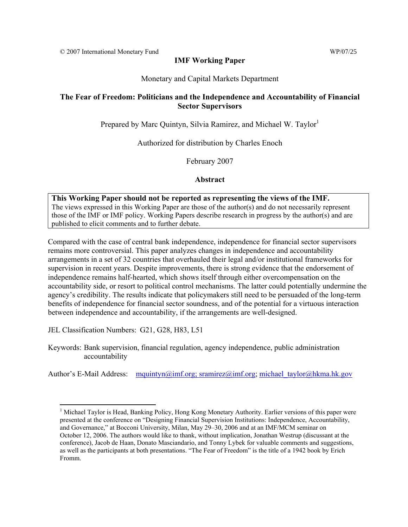#### **IMF Working Paper**

#### Monetary and Capital Markets Department

#### **The Fear of Freedom: Politicians and the Independence and Accountability of Financial Sector Supervisors**

Prepared by Marc Quintyn, Silvia Ramirez, and Michael W. Taylor<sup>1</sup>

Authorized for distribution by Charles Enoch

February 2007

#### **Abstract**

**This Working Paper should not be reported as representing the views of the IMF.** The views expressed in this Working Paper are those of the author(s) and do not necessarily represent those of the IMF or IMF policy. Working Papers describe research in progress by the author(s) and are published to elicit comments and to further debate.

Compared with the case of central bank independence, independence for financial sector supervisors remains more controversial. This paper analyzes changes in independence and accountability arrangements in a set of 32 countries that overhauled their legal and/or institutional frameworks for supervision in recent years. Despite improvements, there is strong evidence that the endorsement of independence remains half-hearted, which shows itself through either overcompensation on the accountability side, or resort to political control mechanisms. The latter could potentially undermine the agency's credibility. The results indicate that policymakers still need to be persuaded of the long-term benefits of independence for financial sector soundness, and of the potential for a virtuous interaction between independence and accountability, if the arrangements are well-designed.

JEL Classification Numbers: G21, G28, H83, L51

Keywords: Bank supervision, financial regulation, agency independence, public administration accountability

Author's E-Mail Address:  $mquintyn(\partial x)$  sramirez $(\partial x)$  michael taylor $(\partial x)$ hkma.hk.gov

 $\overline{a}$ <sup>1</sup> Michael Taylor is Head, Banking Policy, Hong Kong Monetary Authority. Earlier versions of this paper were presented at the conference on "Designing Financial Supervision Institutions: Independence, Accountability, and Governance," at Bocconi University, Milan, May 29–30, 2006 and at an IMF/MCM seminar on October 12, 2006. The authors would like to thank, without implication, Jonathan Westrup (discussant at the conference), Jacob de Haan, Donato Masciandario, and Tonny Lybek for valuable comments and suggestions, as well as the participants at both presentations. "The Fear of Freedom" is the title of a 1942 book by Erich Fromm.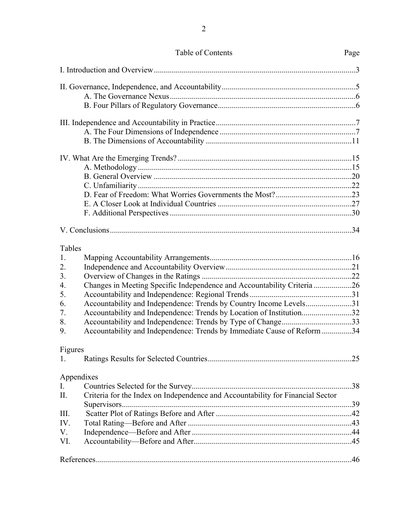| Tables     |                                                                                |  |
|------------|--------------------------------------------------------------------------------|--|
| 1.         |                                                                                |  |
| 2.         |                                                                                |  |
| 3.         |                                                                                |  |
| 4.         | Changes in Meeting Specific Independence and Accountability Criteria 26        |  |
| 5.         |                                                                                |  |
| 6.         | Accountability and Independence: Trends by Country Income Levels31             |  |
| 7.         | Accountability and Independence: Trends by Location of Institution32           |  |
| 8.         | Accountability and Independence: Trends by Type of Change33                    |  |
| 9.         | Accountability and Independence: Trends by Immediate Cause of Reform 34        |  |
| Figures    |                                                                                |  |
| 1.         |                                                                                |  |
| Appendixes |                                                                                |  |
| I.         |                                                                                |  |
| Π.         | Criteria for the Index on Independence and Accountability for Financial Sector |  |
| III.       |                                                                                |  |
| IV.        |                                                                                |  |
| V.         |                                                                                |  |
| VI.        |                                                                                |  |
|            |                                                                                |  |
|            |                                                                                |  |

2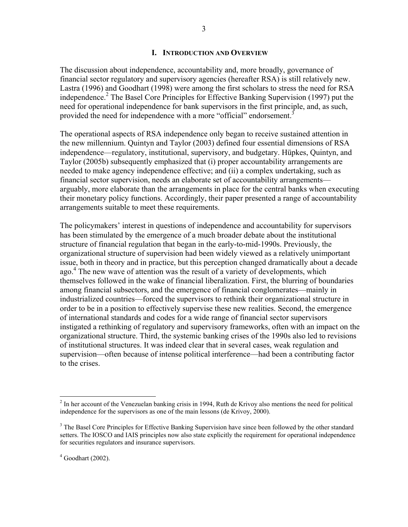#### **I. INTRODUCTION AND OVERVIEW**

The discussion about independence, accountability and, more broadly, governance of financial sector regulatory and supervisory agencies (hereafter RSA) is still relatively new. Lastra (1996) and Goodhart (1998) were among the first scholars to stress the need for RSA independence.<sup>2</sup> The Basel Core Principles for Effective Banking Supervision (1997) put the need for operational independence for bank supervisors in the first principle, and, as such, provided the need for independence with a more "official" endorsement.<sup>3</sup>

The operational aspects of RSA independence only began to receive sustained attention in the new millennium. Quintyn and Taylor (2003) defined four essential dimensions of RSA independence—regulatory, institutional, supervisory, and budgetary. Hüpkes, Quintyn, and Taylor (2005b) subsequently emphasized that (i) proper accountability arrangements are needed to make agency independence effective; and (ii) a complex undertaking, such as financial sector supervision, needs an elaborate set of accountability arrangements arguably, more elaborate than the arrangements in place for the central banks when executing their monetary policy functions. Accordingly, their paper presented a range of accountability arrangements suitable to meet these requirements.

The policymakers' interest in questions of independence and accountability for supervisors has been stimulated by the emergence of a much broader debate about the institutional structure of financial regulation that began in the early-to-mid-1990s. Previously, the organizational structure of supervision had been widely viewed as a relatively unimportant issue, both in theory and in practice, but this perception changed dramatically about a decade ago.<sup>4</sup> The new wave of attention was the result of a variety of developments, which themselves followed in the wake of financial liberalization. First, the blurring of boundaries among financial subsectors, and the emergence of financial conglomerates—mainly in industrialized countries—forced the supervisors to rethink their organizational structure in order to be in a position to effectively supervise these new realities. Second, the emergence of international standards and codes for a wide range of financial sector supervisors instigated a rethinking of regulatory and supervisory frameworks, often with an impact on the organizational structure. Third, the systemic banking crises of the 1990s also led to revisions of institutional structures. It was indeed clear that in several cases, weak regulation and supervision—often because of intense political interference—had been a contributing factor to the crises.

<u>.</u>

 $2<sup>2</sup>$  In her account of the Venezuelan banking crisis in 1994, Ruth de Krivoy also mentions the need for political independence for the supervisors as one of the main lessons (de Krivoy, 2000).

<sup>&</sup>lt;sup>3</sup> The Basel Core Principles for Effective Banking Supervision have since been followed by the other standard setters. The IOSCO and IAIS principles now also state explicitly the requirement for operational independence for securities regulators and insurance supervisors.

 $4$  Goodhart (2002).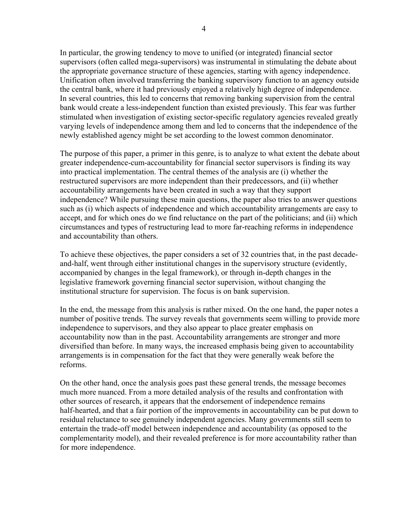In particular, the growing tendency to move to unified (or integrated) financial sector supervisors (often called mega-supervisors) was instrumental in stimulating the debate about the appropriate governance structure of these agencies, starting with agency independence. Unification often involved transferring the banking supervisory function to an agency outside the central bank, where it had previously enjoyed a relatively high degree of independence. In several countries, this led to concerns that removing banking supervision from the central bank would create a less-independent function than existed previously. This fear was further stimulated when investigation of existing sector-specific regulatory agencies revealed greatly varying levels of independence among them and led to concerns that the independence of the newly established agency might be set according to the lowest common denominator.

The purpose of this paper, a primer in this genre, is to analyze to what extent the debate about greater independence-cum-accountability for financial sector supervisors is finding its way into practical implementation. The central themes of the analysis are (i) whether the restructured supervisors are more independent than their predecessors, and (ii) whether accountability arrangements have been created in such a way that they support independence? While pursuing these main questions, the paper also tries to answer questions such as (i) which aspects of independence and which accountability arrangements are easy to accept, and for which ones do we find reluctance on the part of the politicians; and (ii) which circumstances and types of restructuring lead to more far-reaching reforms in independence and accountability than others.

To achieve these objectives, the paper considers a set of 32 countries that, in the past decadeand-half, went through either institutional changes in the supervisory structure (evidently, accompanied by changes in the legal framework), or through in-depth changes in the legislative framework governing financial sector supervision, without changing the institutional structure for supervision. The focus is on bank supervision.

In the end, the message from this analysis is rather mixed. On the one hand, the paper notes a number of positive trends. The survey reveals that governments seem willing to provide more independence to supervisors, and they also appear to place greater emphasis on accountability now than in the past. Accountability arrangements are stronger and more diversified than before. In many ways, the increased emphasis being given to accountability arrangements is in compensation for the fact that they were generally weak before the reforms.

On the other hand, once the analysis goes past these general trends, the message becomes much more nuanced. From a more detailed analysis of the results and confrontation with other sources of research, it appears that the endorsement of independence remains half-hearted, and that a fair portion of the improvements in accountability can be put down to residual reluctance to see genuinely independent agencies. Many governments still seem to entertain the trade-off model between independence and accountability (as opposed to the complementarity model), and their revealed preference is for more accountability rather than for more independence.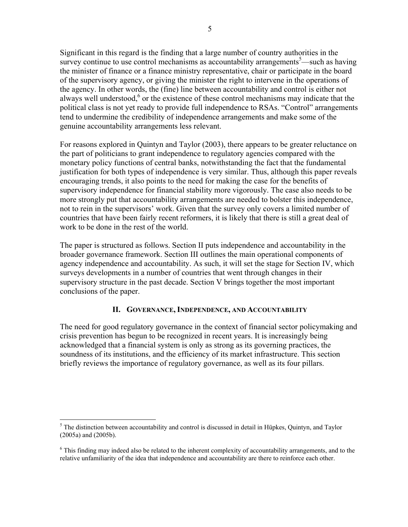Significant in this regard is the finding that a large number of country authorities in the survey continue to use control mechanisms as accountability arrangements<sup>5</sup>—such as having the minister of finance or a finance ministry representative, chair or participate in the board of the supervisory agency, or giving the minister the right to intervene in the operations of the agency. In other words, the (fine) line between accountability and control is either not always well understood, $6$  or the existence of these control mechanisms may indicate that the political class is not yet ready to provide full independence to RSAs. "Control" arrangements tend to undermine the credibility of independence arrangements and make some of the genuine accountability arrangements less relevant.

For reasons explored in Quintyn and Taylor (2003), there appears to be greater reluctance on the part of politicians to grant independence to regulatory agencies compared with the monetary policy functions of central banks, notwithstanding the fact that the fundamental justification for both types of independence is very similar. Thus, although this paper reveals encouraging trends, it also points to the need for making the case for the benefits of supervisory independence for financial stability more vigorously. The case also needs to be more strongly put that accountability arrangements are needed to bolster this independence, not to rein in the supervisors' work. Given that the survey only covers a limited number of countries that have been fairly recent reformers, it is likely that there is still a great deal of work to be done in the rest of the world.

The paper is structured as follows. Section II puts independence and accountability in the broader governance framework. Section III outlines the main operational components of agency independence and accountability. As such, it will set the stage for Section IV, which surveys developments in a number of countries that went through changes in their supervisory structure in the past decade. Section V brings together the most important conclusions of the paper.

#### **II. GOVERNANCE, INDEPENDENCE, AND ACCOUNTABILITY**

The need for good regulatory governance in the context of financial sector policymaking and crisis prevention has begun to be recognized in recent years. It is increasingly being acknowledged that a financial system is only as strong as its governing practices, the soundness of its institutions, and the efficiency of its market infrastructure. This section briefly reviews the importance of regulatory governance, as well as its four pillars.

 $\overline{a}$ 

<sup>&</sup>lt;sup>5</sup> The distinction between accountability and control is discussed in detail in Hüpkes, Quintyn, and Taylor (2005a) and (2005b).

<sup>&</sup>lt;sup>6</sup> This finding may indeed also be related to the inherent complexity of accountability arrangements, and to the relative unfamiliarity of the idea that independence and accountability are there to reinforce each other.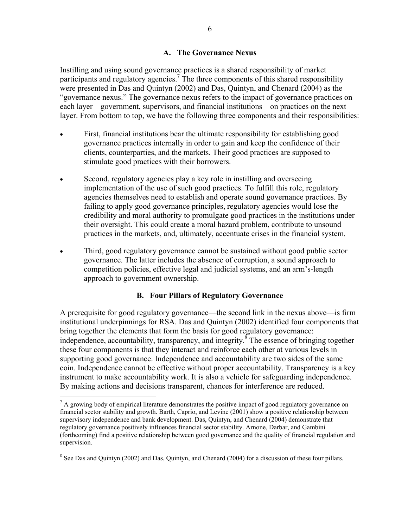#### **A. The Governance Nexus**

Instilling and using sound governance practices is a shared responsibility of market participants and regulatory agencies.<sup>7</sup> The three components of this shared responsibility were presented in Das and Quintyn (2002) and Das, Quintyn, and Chenard (2004) as the "governance nexus." The governance nexus refers to the impact of governance practices on each layer—government, supervisors, and financial institutions—on practices on the next layer. From bottom to top, we have the following three components and their responsibilities:

- First, financial institutions bear the ultimate responsibility for establishing good governance practices internally in order to gain and keep the confidence of their clients, counterparties, and the markets. Their good practices are supposed to stimulate good practices with their borrowers.
- Second, regulatory agencies play a key role in instilling and overseeing implementation of the use of such good practices. To fulfill this role, regulatory agencies themselves need to establish and operate sound governance practices. By failing to apply good governance principles, regulatory agencies would lose the credibility and moral authority to promulgate good practices in the institutions under their oversight. This could create a moral hazard problem, contribute to unsound practices in the markets, and, ultimately, accentuate crises in the financial system.
- Third, good regulatory governance cannot be sustained without good public sector governance. The latter includes the absence of corruption, a sound approach to competition policies, effective legal and judicial systems, and an arm's-length approach to government ownership.

#### **B. Four Pillars of Regulatory Governance**

A prerequisite for good regulatory governance—the second link in the nexus above—is firm institutional underpinnings for RSA. Das and Quintyn (2002) identified four components that bring together the elements that form the basis for good regulatory governance: independence, accountability, transparency, and integrity.<sup>8</sup> The essence of bringing together these four components is that they interact and reinforce each other at various levels in supporting good governance. Independence and accountability are two sides of the same coin. Independence cannot be effective without proper accountability. Transparency is a key instrument to make accountability work. It is also a vehicle for safeguarding independence. By making actions and decisions transparent, chances for interference are reduced.

 $\overline{a}$ 

 $<sup>7</sup>$  A growing body of empirical literature demonstrates the positive impact of good regulatory governance on</sup> financial sector stability and growth. Barth, Caprio, and Levine (2001) show a positive relationship between supervisory independence and bank development. Das, Quintyn, and Chenard (2004) demonstrate that regulatory governance positively influences financial sector stability. Arnone, Darbar, and Gambini (forthcoming) find a positive relationship between good governance and the quality of financial regulation and supervision.

 $8$  See Das and Quintyn (2002) and Das, Quintyn, and Chenard (2004) for a discussion of these four pillars.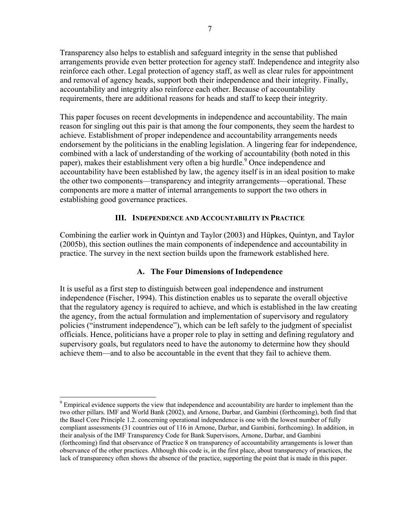Transparency also helps to establish and safeguard integrity in the sense that published arrangements provide even better protection for agency staff. Independence and integrity also reinforce each other. Legal protection of agency staff, as well as clear rules for appointment and removal of agency heads, support both their independence and their integrity. Finally, accountability and integrity also reinforce each other. Because of accountability requirements, there are additional reasons for heads and staff to keep their integrity.

This paper focuses on recent developments in independence and accountability. The main reason for singling out this pair is that among the four components, they seem the hardest to achieve. Establishment of proper independence and accountability arrangements needs endorsement by the politicians in the enabling legislation. A lingering fear for independence, combined with a lack of understanding of the working of accountability (both noted in this paper), makes their establishment very often a big hurdle.<sup>9</sup> Once independence and accountability have been established by law, the agency itself is in an ideal position to make the other two components—transparency and integrity arrangements—operational. These components are more a matter of internal arrangements to support the two others in establishing good governance practices.

#### **III. INDEPENDENCE AND ACCOUNTABILITY IN PRACTICE**

Combining the earlier work in Quintyn and Taylor (2003) and Hüpkes, Quintyn, and Taylor (2005b), this section outlines the main components of independence and accountability in practice. The survey in the next section builds upon the framework established here.

#### **A. The Four Dimensions of Independence**

It is useful as a first step to distinguish between goal independence and instrument independence (Fischer, 1994). This distinction enables us to separate the overall objective that the regulatory agency is required to achieve, and which is established in the law creating the agency, from the actual formulation and implementation of supervisory and regulatory policies ("instrument independence"), which can be left safely to the judgment of specialist officials. Hence, politicians have a proper role to play in setting and defining regulatory and supervisory goals, but regulators need to have the autonomy to determine how they should achieve them—and to also be accountable in the event that they fail to achieve them.

1

 $9$  Empirical evidence supports the view that independence and accountability are harder to implement than the two other pillars. IMF and World Bank (2002), and Arnone, Darbar, and Gambini (forthcoming), both find that the Basel Core Principle 1.2. concerning operational independence is one with the lowest number of fully compliant assessments (31 countries out of 116 in Arnone, Darbar, and Gambini, forthcoming). In addition, in their analysis of the IMF Transparency Code for Bank Supervisors, Arnone, Darbar, and Gambini (forthcoming) find that observance of Practice 8 on transparency of accountability arrangements is lower than observance of the other practices. Although this code is, in the first place, about transparency of practices, the lack of transparency often shows the absence of the practice, supporting the point that is made in this paper.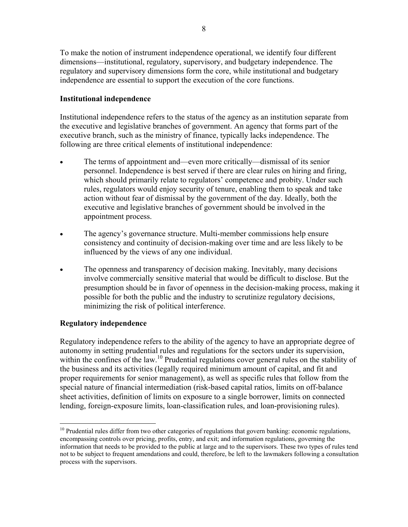To make the notion of instrument independence operational, we identify four different dimensions—institutional, regulatory, supervisory, and budgetary independence. The regulatory and supervisory dimensions form the core, while institutional and budgetary independence are essential to support the execution of the core functions.

#### **Institutional independence**

Institutional independence refers to the status of the agency as an institution separate from the executive and legislative branches of government. An agency that forms part of the executive branch, such as the ministry of finance, typically lacks independence. The following are three critical elements of institutional independence:

- The terms of appointment and—even more critically—dismissal of its senior personnel. Independence is best served if there are clear rules on hiring and firing, which should primarily relate to regulators' competence and probity. Under such rules, regulators would enjoy security of tenure, enabling them to speak and take action without fear of dismissal by the government of the day. Ideally, both the executive and legislative branches of government should be involved in the appointment process.
- The agency's governance structure. Multi-member commissions help ensure consistency and continuity of decision-making over time and are less likely to be influenced by the views of any one individual.
- The openness and transparency of decision making. Inevitably, many decisions involve commercially sensitive material that would be difficult to disclose. But the presumption should be in favor of openness in the decision-making process, making it possible for both the public and the industry to scrutinize regulatory decisions, minimizing the risk of political interference.

#### **Regulatory independence**

Regulatory independence refers to the ability of the agency to have an appropriate degree of autonomy in setting prudential rules and regulations for the sectors under its supervision, within the confines of the law.<sup>10</sup> Prudential regulations cover general rules on the stability of the business and its activities (legally required minimum amount of capital, and fit and proper requirements for senior management), as well as specific rules that follow from the special nature of financial intermediation (risk-based capital ratios, limits on off-balance sheet activities, definition of limits on exposure to a single borrower, limits on connected lending, foreign-exposure limits, loan-classification rules, and loan-provisioning rules).

 $\overline{a}$ <sup>10</sup> Prudential rules differ from two other categories of regulations that govern banking: economic regulations, encompassing controls over pricing, profits, entry, and exit; and information regulations, governing the information that needs to be provided to the public at large and to the supervisors. These two types of rules tend not to be subject to frequent amendations and could, therefore, be left to the lawmakers following a consultation process with the supervisors.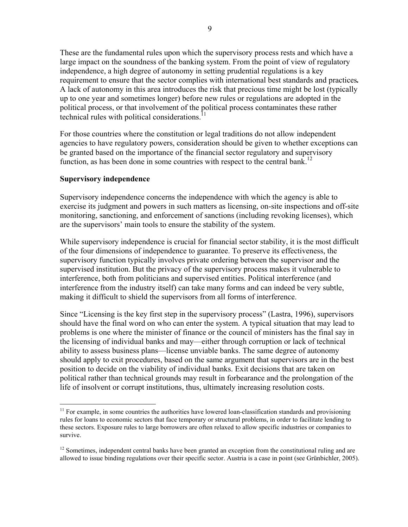These are the fundamental rules upon which the supervisory process rests and which have a large impact on the soundness of the banking system. From the point of view of regulatory independence, a high degree of autonomy in setting prudential regulations is a key requirement to ensure that the sector complies with international best standards and practices*.* A lack of autonomy in this area introduces the risk that precious time might be lost (typically up to one year and sometimes longer) before new rules or regulations are adopted in the political process, or that involvement of the political process contaminates these rather technical rules with political considerations.<sup>11</sup>

For those countries where the constitution or legal traditions do not allow independent agencies to have regulatory powers, consideration should be given to whether exceptions can be granted based on the importance of the financial sector regulatory and supervisory function, as has been done in some countries with respect to the central bank.<sup>12</sup>

#### **Supervisory independence**

<u>.</u>

Supervisory independence concerns the independence with which the agency is able to exercise its judgment and powers in such matters as licensing, on-site inspections and off-site monitoring, sanctioning, and enforcement of sanctions (including revoking licenses), which are the supervisors' main tools to ensure the stability of the system.

While supervisory independence is crucial for financial sector stability, it is the most difficult of the four dimensions of independence to guarantee. To preserve its effectiveness, the supervisory function typically involves private ordering between the supervisor and the supervised institution. But the privacy of the supervisory process makes it vulnerable to interference, both from politicians and supervised entities. Political interference (and interference from the industry itself) can take many forms and can indeed be very subtle, making it difficult to shield the supervisors from all forms of interference.

Since "Licensing is the key first step in the supervisory process" (Lastra, 1996), supervisors should have the final word on who can enter the system. A typical situation that may lead to problems is one where the minister of finance or the council of ministers has the final say in the licensing of individual banks and may—either through corruption or lack of technical ability to assess business plans—license unviable banks. The same degree of autonomy should apply to exit procedures, based on the same argument that supervisors are in the best position to decide on the viability of individual banks. Exit decisions that are taken on political rather than technical grounds may result in forbearance and the prolongation of the life of insolvent or corrupt institutions, thus, ultimately increasing resolution costs.

 $11$  For example, in some countries the authorities have lowered loan-classification standards and provisioning rules for loans to economic sectors that face temporary or structural problems, in order to facilitate lending to these sectors. Exposure rules to large borrowers are often relaxed to allow specific industries or companies to survive.

<sup>&</sup>lt;sup>12</sup> Sometimes, independent central banks have been granted an exception from the constitutional ruling and are allowed to issue binding regulations over their specific sector. Austria is a case in point (see Grünbichler, 2005).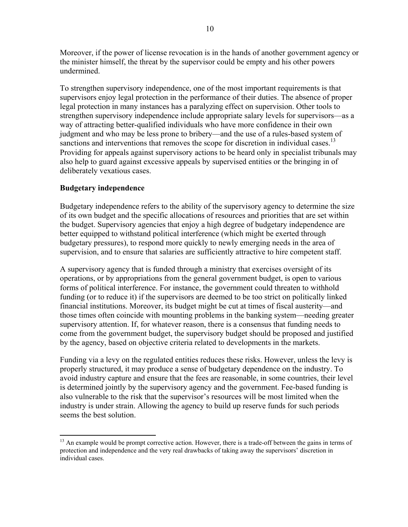Moreover, if the power of license revocation is in the hands of another government agency or the minister himself, the threat by the supervisor could be empty and his other powers undermined.

To strengthen supervisory independence, one of the most important requirements is that supervisors enjoy legal protection in the performance of their duties. The absence of proper legal protection in many instances has a paralyzing effect on supervision. Other tools to strengthen supervisory independence include appropriate salary levels for supervisors—as a way of attracting better-qualified individuals who have more confidence in their own judgment and who may be less prone to bribery—and the use of a rules-based system of sanctions and interventions that removes the scope for discretion in individual cases.<sup>13</sup> Providing for appeals against supervisory actions to be heard only in specialist tribunals may also help to guard against excessive appeals by supervised entities or the bringing in of deliberately vexatious cases.

#### **Budgetary independence**

<u>.</u>

Budgetary independence refers to the ability of the supervisory agency to determine the size of its own budget and the specific allocations of resources and priorities that are set within the budget. Supervisory agencies that enjoy a high degree of budgetary independence are better equipped to withstand political interference (which might be exerted through budgetary pressures), to respond more quickly to newly emerging needs in the area of supervision, and to ensure that salaries are sufficiently attractive to hire competent staff.

A supervisory agency that is funded through a ministry that exercises oversight of its operations, or by appropriations from the general government budget, is open to various forms of political interference. For instance, the government could threaten to withhold funding (or to reduce it) if the supervisors are deemed to be too strict on politically linked financial institutions. Moreover, its budget might be cut at times of fiscal austerity—and those times often coincide with mounting problems in the banking system—needing greater supervisory attention. If, for whatever reason, there is a consensus that funding needs to come from the government budget, the supervisory budget should be proposed and justified by the agency, based on objective criteria related to developments in the markets.

Funding via a levy on the regulated entities reduces these risks. However, unless the levy is properly structured, it may produce a sense of budgetary dependence on the industry. To avoid industry capture and ensure that the fees are reasonable, in some countries, their level is determined jointly by the supervisory agency and the government. Fee-based funding is also vulnerable to the risk that the supervisor's resources will be most limited when the industry is under strain. Allowing the agency to build up reserve funds for such periods seems the best solution.

<sup>&</sup>lt;sup>13</sup> An example would be prompt corrective action. However, there is a trade-off between the gains in terms of protection and independence and the very real drawbacks of taking away the supervisors' discretion in individual cases.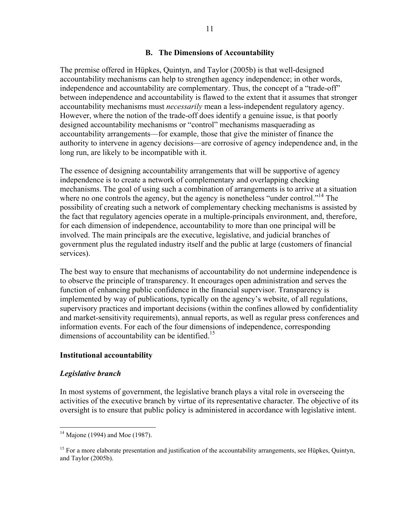#### **B. The Dimensions of Accountability**

The premise offered in Hüpkes, Quintyn, and Taylor (2005b) is that well-designed accountability mechanisms can help to strengthen agency independence; in other words, independence and accountability are complementary. Thus, the concept of a "trade-off" between independence and accountability is flawed to the extent that it assumes that stronger accountability mechanisms must *necessarily* mean a less-independent regulatory agency. However, where the notion of the trade-off does identify a genuine issue, is that poorly designed accountability mechanisms or "control" mechanisms masquerading as accountability arrangements—for example, those that give the minister of finance the authority to intervene in agency decisions—are corrosive of agency independence and, in the long run, are likely to be incompatible with it.

The essence of designing accountability arrangements that will be supportive of agency independence is to create a network of complementary and overlapping checking mechanisms. The goal of using such a combination of arrangements is to arrive at a situation where no one controls the agency, but the agency is nonetheless "under control."<sup>14</sup> The possibility of creating such a network of complementary checking mechanisms is assisted by the fact that regulatory agencies operate in a multiple-principals environment, and, therefore, for each dimension of independence, accountability to more than one principal will be involved. The main principals are the executive, legislative, and judicial branches of government plus the regulated industry itself and the public at large (customers of financial services).

The best way to ensure that mechanisms of accountability do not undermine independence is to observe the principle of transparency. It encourages open administration and serves the function of enhancing public confidence in the financial supervisor. Transparency is implemented by way of publications, typically on the agency's website, of all regulations, supervisory practices and important decisions (within the confines allowed by confidentiality and market-sensitivity requirements), annual reports, as well as regular press conferences and information events. For each of the four dimensions of independence, corresponding dimensions of accountability can be identified.<sup>15</sup>

#### **Institutional accountability**

#### *Legislative branch*

<u>.</u>

In most systems of government, the legislative branch plays a vital role in overseeing the activities of the executive branch by virtue of its representative character. The objective of its oversight is to ensure that public policy is administered in accordance with legislative intent.

 $14$  Majone (1994) and Moe (1987).

<sup>&</sup>lt;sup>15</sup> For a more elaborate presentation and justification of the accountability arrangements, see Hüpkes, Quintyn, and Taylor (2005b).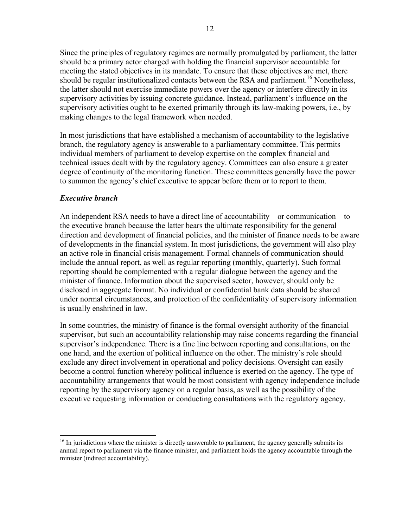Since the principles of regulatory regimes are normally promulgated by parliament, the latter should be a primary actor charged with holding the financial supervisor accountable for meeting the stated objectives in its mandate. To ensure that these objectives are met, there should be regular institutionalized contacts between the RSA and parliament.<sup>16</sup> Nonetheless, the latter should not exercise immediate powers over the agency or interfere directly in its supervisory activities by issuing concrete guidance. Instead, parliament's influence on the supervisory activities ought to be exerted primarily through its law-making powers, i.e., by making changes to the legal framework when needed.

In most jurisdictions that have established a mechanism of accountability to the legislative branch, the regulatory agency is answerable to a parliamentary committee. This permits individual members of parliament to develop expertise on the complex financial and technical issues dealt with by the regulatory agency. Committees can also ensure a greater degree of continuity of the monitoring function. These committees generally have the power to summon the agency's chief executive to appear before them or to report to them.

#### *Executive branch*

<u>.</u>

An independent RSA needs to have a direct line of accountability—or communication—to the executive branch because the latter bears the ultimate responsibility for the general direction and development of financial policies, and the minister of finance needs to be aware of developments in the financial system. In most jurisdictions, the government will also play an active role in financial crisis management. Formal channels of communication should include the annual report, as well as regular reporting (monthly, quarterly). Such formal reporting should be complemented with a regular dialogue between the agency and the minister of finance. Information about the supervised sector, however, should only be disclosed in aggregate format. No individual or confidential bank data should be shared under normal circumstances, and protection of the confidentiality of supervisory information is usually enshrined in law.

In some countries, the ministry of finance is the formal oversight authority of the financial supervisor, but such an accountability relationship may raise concerns regarding the financial supervisor's independence. There is a fine line between reporting and consultations, on the one hand, and the exertion of political influence on the other. The ministry's role should exclude any direct involvement in operational and policy decisions. Oversight can easily become a control function whereby political influence is exerted on the agency. The type of accountability arrangements that would be most consistent with agency independence include reporting by the supervisory agency on a regular basis, as well as the possibility of the executive requesting information or conducting consultations with the regulatory agency.

 $16$  In jurisdictions where the minister is directly answerable to parliament, the agency generally submits its annual report to parliament via the finance minister, and parliament holds the agency accountable through the minister (indirect accountability).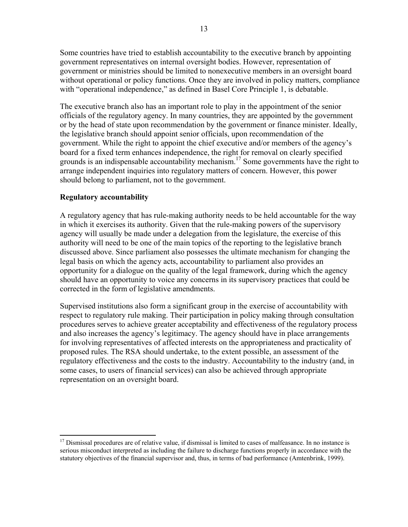Some countries have tried to establish accountability to the executive branch by appointing government representatives on internal oversight bodies. However, representation of government or ministries should be limited to nonexecutive members in an oversight board without operational or policy functions. Once they are involved in policy matters, compliance with "operational independence," as defined in Basel Core Principle 1, is debatable.

The executive branch also has an important role to play in the appointment of the senior officials of the regulatory agency. In many countries, they are appointed by the government or by the head of state upon recommendation by the government or finance minister. Ideally, the legislative branch should appoint senior officials, upon recommendation of the government. While the right to appoint the chief executive and/or members of the agency's board for a fixed term enhances independence, the right for removal on clearly specified grounds is an indispensable accountability mechanism.<sup>17</sup> Some governments have the right to arrange independent inquiries into regulatory matters of concern. However, this power should belong to parliament, not to the government.

#### **Regulatory accountability**

 $\overline{a}$ 

A regulatory agency that has rule-making authority needs to be held accountable for the way in which it exercises its authority. Given that the rule-making powers of the supervisory agency will usually be made under a delegation from the legislature, the exercise of this authority will need to be one of the main topics of the reporting to the legislative branch discussed above. Since parliament also possesses the ultimate mechanism for changing the legal basis on which the agency acts, accountability to parliament also provides an opportunity for a dialogue on the quality of the legal framework, during which the agency should have an opportunity to voice any concerns in its supervisory practices that could be corrected in the form of legislative amendments.

Supervised institutions also form a significant group in the exercise of accountability with respect to regulatory rule making. Their participation in policy making through consultation procedures serves to achieve greater acceptability and effectiveness of the regulatory process and also increases the agency's legitimacy. The agency should have in place arrangements for involving representatives of affected interests on the appropriateness and practicality of proposed rules. The RSA should undertake, to the extent possible, an assessment of the regulatory effectiveness and the costs to the industry. Accountability to the industry (and, in some cases, to users of financial services) can also be achieved through appropriate representation on an oversight board.

 $17$  Dismissal procedures are of relative value, if dismissal is limited to cases of malfeasance. In no instance is serious misconduct interpreted as including the failure to discharge functions properly in accordance with the statutory objectives of the financial supervisor and, thus, in terms of bad performance (Amtenbrink, 1999).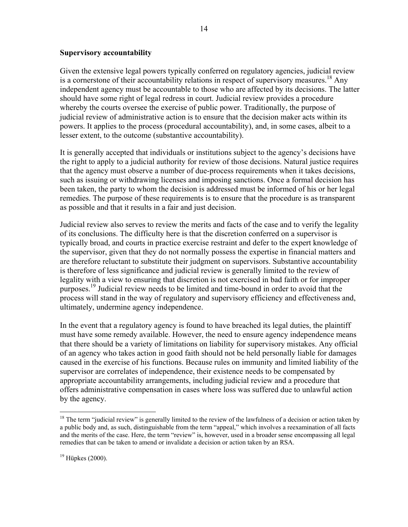#### **Supervisory accountability**

Given the extensive legal powers typically conferred on regulatory agencies, judicial review is a cornerstone of their accountability relations in respect of supervisory measures.<sup>18</sup> Any independent agency must be accountable to those who are affected by its decisions. The latter should have some right of legal redress in court. Judicial review provides a procedure whereby the courts oversee the exercise of public power. Traditionally, the purpose of judicial review of administrative action is to ensure that the decision maker acts within its powers. It applies to the process (procedural accountability), and, in some cases, albeit to a lesser extent, to the outcome (substantive accountability).

It is generally accepted that individuals or institutions subject to the agency's decisions have the right to apply to a judicial authority for review of those decisions. Natural justice requires that the agency must observe a number of due-process requirements when it takes decisions, such as issuing or withdrawing licenses and imposing sanctions. Once a formal decision has been taken, the party to whom the decision is addressed must be informed of his or her legal remedies. The purpose of these requirements is to ensure that the procedure is as transparent as possible and that it results in a fair and just decision.

Judicial review also serves to review the merits and facts of the case and to verify the legality of its conclusions. The difficulty here is that the discretion conferred on a supervisor is typically broad, and courts in practice exercise restraint and defer to the expert knowledge of the supervisor, given that they do not normally possess the expertise in financial matters and are therefore reluctant to substitute their judgment on supervisors. Substantive accountability is therefore of less significance and judicial review is generally limited to the review of legality with a view to ensuring that discretion is not exercised in bad faith or for improper purposes.<sup>19</sup> Judicial review needs to be limited and time-bound in order to avoid that the process will stand in the way of regulatory and supervisory efficiency and effectiveness and, ultimately, undermine agency independence.

In the event that a regulatory agency is found to have breached its legal duties, the plaintiff must have some remedy available. However, the need to ensure agency independence means that there should be a variety of limitations on liability for supervisory mistakes. Any official of an agency who takes action in good faith should not be held personally liable for damages caused in the exercise of his functions. Because rules on immunity and limited liability of the supervisor are correlates of independence, their existence needs to be compensated by appropriate accountability arrangements, including judicial review and a procedure that offers administrative compensation in cases where loss was suffered due to unlawful action by the agency.

 $\overline{a}$ 

 $18$  The term "judicial review" is generally limited to the review of the lawfulness of a decision or action taken by a public body and, as such, distinguishable from the term "appeal," which involves a reexamination of all facts and the merits of the case. Here, the term "review" is, however, used in a broader sense encompassing all legal remedies that can be taken to amend or invalidate a decision or action taken by an RSA.

 $19$  Hüpkes (2000).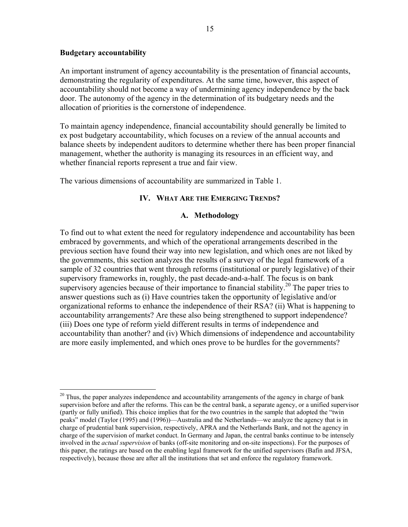#### **Budgetary accountability**

1

An important instrument of agency accountability is the presentation of financial accounts, demonstrating the regularity of expenditures. At the same time, however, this aspect of accountability should not become a way of undermining agency independence by the back door. The autonomy of the agency in the determination of its budgetary needs and the allocation of priorities is the cornerstone of independence.

To maintain agency independence, financial accountability should generally be limited to ex post budgetary accountability, which focuses on a review of the annual accounts and balance sheets by independent auditors to determine whether there has been proper financial management, whether the authority is managing its resources in an efficient way, and whether financial reports represent a true and fair view.

The various dimensions of accountability are summarized in Table 1.

#### **IV. WHAT ARE THE EMERGING TRENDS?**

#### **A. Methodology**

To find out to what extent the need for regulatory independence and accountability has been embraced by governments, and which of the operational arrangements described in the previous section have found their way into new legislation, and which ones are not liked by the governments, this section analyzes the results of a survey of the legal framework of a sample of 32 countries that went through reforms (institutional or purely legislative) of their supervisory frameworks in, roughly, the past decade-and-a-half. The focus is on bank supervisory agencies because of their importance to financial stability.<sup>20</sup> The paper tries to answer questions such as (i) Have countries taken the opportunity of legislative and/or organizational reforms to enhance the independence of their RSA? (ii) What is happening to accountability arrangements? Are these also being strengthened to support independence? (iii) Does one type of reform yield different results in terms of independence and accountability than another? and (iv) Which dimensions of independence and accountability are more easily implemented, and which ones prove to be hurdles for the governments?

 $^{20}$  Thus, the paper analyzes independence and accountability arrangements of the agency in charge of bank supervision before and after the reforms. This can be the central bank, a separate agency, or a unified supervisor (partly or fully unified). This choice implies that for the two countries in the sample that adopted the "twin peaks" model (Taylor (1995) and (1996))—Australia and the Netherlands—we analyze the agency that is in charge of prudential bank supervision, respectively, APRA and the Netherlands Bank, and not the agency in charge of the supervision of market conduct. In Germany and Japan, the central banks continue to be intensely involved in the *actual supervision* of banks (off-site monitoring and on-site inspections). For the purposes of this paper, the ratings are based on the enabling legal framework for the unified supervisors (Bafin and JFSA, respectively), because those are after all the institutions that set and enforce the regulatory framework.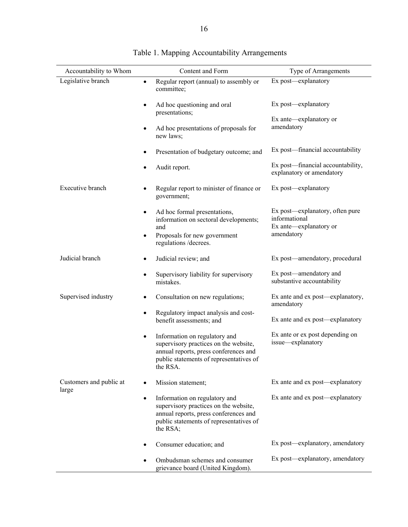| Accountability to Whom           | Content and Form                                                                                                                                                                    | Type of Arrangements                                                                     |
|----------------------------------|-------------------------------------------------------------------------------------------------------------------------------------------------------------------------------------|------------------------------------------------------------------------------------------|
| Legislative branch               | Regular report (annual) to assembly or<br>$\bullet$<br>committee;                                                                                                                   | Ex post-explanatory                                                                      |
|                                  | Ad hoc questioning and oral<br>$\bullet$<br>presentations;                                                                                                                          | Ex post—explanatory                                                                      |
|                                  | Ad hoc presentations of proposals for<br>$\bullet$<br>new laws;                                                                                                                     | Ex ante—explanatory or<br>amendatory                                                     |
|                                  | Presentation of budgetary outcome; and<br>$\bullet$                                                                                                                                 | Ex post—financial accountability                                                         |
|                                  | Audit report.<br>$\bullet$                                                                                                                                                          | Ex post—financial accountability,<br>explanatory or amendatory                           |
| Executive branch                 | Regular report to minister of finance or<br>$\bullet$<br>government;                                                                                                                | Ex post—explanatory                                                                      |
|                                  | Ad hoc formal presentations,<br>$\bullet$<br>information on sectoral developments;<br>and<br>Proposals for new government<br>$\bullet$<br>regulations /decrees.                     | Ex post-explanatory, often pure<br>informational<br>Ex ante—explanatory or<br>amendatory |
| Judicial branch                  | Judicial review; and<br>٠                                                                                                                                                           | Ex post—amendatory, procedural                                                           |
|                                  | Supervisory liability for supervisory<br>$\bullet$<br>mistakes.                                                                                                                     | Ex post—amendatory and<br>substantive accountability                                     |
| Supervised industry              | Consultation on new regulations;<br>$\bullet$                                                                                                                                       | Ex ante and ex post—explanatory,<br>amendatory                                           |
|                                  | Regulatory impact analysis and cost-<br>$\bullet$<br>benefit assessments; and                                                                                                       | Ex ante and ex post-explanatory                                                          |
|                                  | Information on regulatory and<br>$\bullet$<br>supervisory practices on the website,<br>annual reports, press conferences and<br>public statements of representatives of<br>the RSA. | Ex ante or ex post depending on<br>issue-explanatory                                     |
| Customers and public at<br>large | Mission statement;<br>$\bullet$                                                                                                                                                     | Ex ante and ex post—explanatory                                                          |
|                                  | Information on regulatory and<br>$\bullet$<br>supervisory practices on the website,<br>annual reports, press conferences and<br>public statements of representatives of<br>the RSA; | Ex ante and ex post—explanatory                                                          |
|                                  | Consumer education; and<br>$\bullet$                                                                                                                                                | Ex post-explanatory, amendatory                                                          |
|                                  | Ombudsman schemes and consumer<br>grievance board (United Kingdom).                                                                                                                 | Ex post—explanatory, amendatory                                                          |

#### Table 1. Mapping Accountability Arrangements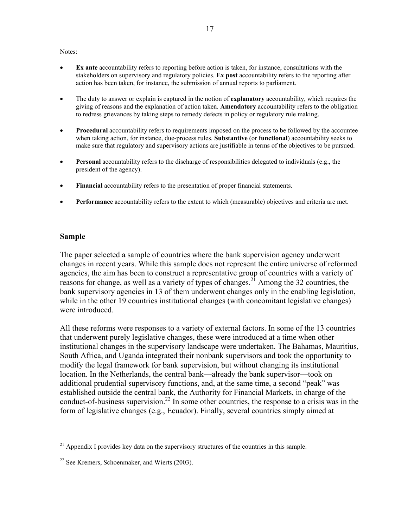#### Notes:

- **Ex ante** accountability refers to reporting before action is taken, for instance, consultations with the stakeholders on supervisory and regulatory policies. **Ex post** accountability refers to the reporting after action has been taken, for instance, the submission of annual reports to parliament.
- The duty to answer or explain is captured in the notion of **explanatory** accountability, which requires the giving of reasons and the explanation of action taken. **Amendatory** accountability refers to the obligation to redress grievances by taking steps to remedy defects in policy or regulatory rule making.
- **Procedural** accountability refers to requirements imposed on the process to be followed by the accountee when taking action, for instance, due-process rules. **Substantive** (or **functional**) accountability seeks to make sure that regulatory and supervisory actions are justifiable in terms of the objectives to be pursued.
- **Personal** accountability refers to the discharge of responsibilities delegated to individuals (e.g., the president of the agency).
- **Financial** accountability refers to the presentation of proper financial statements.
- **Performance** accountability refers to the extent to which (measurable) objectives and criteria are met.

#### **Sample**

 $\overline{a}$ 

The paper selected a sample of countries where the bank supervision agency underwent changes in recent years. While this sample does not represent the entire universe of reformed agencies, the aim has been to construct a representative group of countries with a variety of reasons for change, as well as a variety of types of changes.<sup>21</sup> Among the 32 countries, the bank supervisory agencies in 13 of them underwent changes only in the enabling legislation, while in the other 19 countries institutional changes (with concomitant legislative changes) were introduced.

All these reforms were responses to a variety of external factors. In some of the 13 countries that underwent purely legislative changes, these were introduced at a time when other institutional changes in the supervisory landscape were undertaken. The Bahamas, Mauritius, South Africa, and Uganda integrated their nonbank supervisors and took the opportunity to modify the legal framework for bank supervision, but without changing its institutional location. In the Netherlands, the central bank—already the bank supervisor—took on additional prudential supervisory functions, and, at the same time, a second "peak" was established outside the central bank, the Authority for Financial Markets, in charge of the conduct-of-business supervision.<sup>22</sup> In some other countries, the response to a crisis was in the form of legislative changes (e.g., Ecuador). Finally, several countries simply aimed at

 $21$  Appendix I provides key data on the supervisory structures of the countries in this sample.

 $22$  See Kremers, Schoenmaker, and Wierts (2003).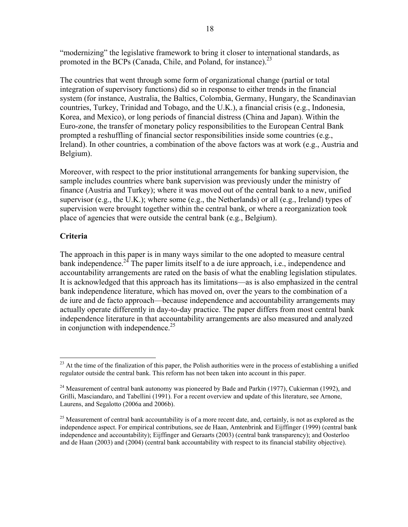"modernizing" the legislative framework to bring it closer to international standards, as promoted in the BCPs (Canada, Chile, and Poland, for instance). $^{23}$ 

The countries that went through some form of organizational change (partial or total integration of supervisory functions) did so in response to either trends in the financial system (for instance, Australia, the Baltics, Colombia, Germany, Hungary, the Scandinavian countries, Turkey, Trinidad and Tobago, and the U.K.), a financial crisis (e.g., Indonesia, Korea, and Mexico), or long periods of financial distress (China and Japan). Within the Euro-zone, the transfer of monetary policy responsibilities to the European Central Bank prompted a reshuffling of financial sector responsibilities inside some countries (e.g., Ireland). In other countries, a combination of the above factors was at work (e.g., Austria and Belgium).

Moreover, with respect to the prior institutional arrangements for banking supervision, the sample includes countries where bank supervision was previously under the ministry of finance (Austria and Turkey); where it was moved out of the central bank to a new, unified supervisor (e.g., the U.K.); where some (e.g., the Netherlands) or all (e.g., Ireland) types of supervision were brought together within the central bank, or where a reorganization took place of agencies that were outside the central bank (e.g., Belgium).

#### **Criteria**

1

The approach in this paper is in many ways similar to the one adopted to measure central bank independence.<sup>24</sup> The paper limits itself to a de iure approach, i.e., independence and accountability arrangements are rated on the basis of what the enabling legislation stipulates. It is acknowledged that this approach has its limitations—as is also emphasized in the central bank independence literature, which has moved on, over the years to the combination of a de iure and de facto approach—because independence and accountability arrangements may actually operate differently in day-to-day practice. The paper differs from most central bank independence literature in that accountability arrangements are also measured and analyzed in conjunction with independence.<sup>25</sup>

<sup>&</sup>lt;sup>23</sup> At the time of the finalization of this paper, the Polish authorities were in the process of establishing a unified regulator outside the central bank. This reform has not been taken into account in this paper.

<sup>&</sup>lt;sup>24</sup> Measurement of central bank autonomy was pioneered by Bade and Parkin (1977), Cukierman (1992), and Grilli, Masciandaro, and Tabellini (1991). For a recent overview and update of this literature, see Arnone, Laurens, and Segalotto (2006a and 2006b).

<sup>&</sup>lt;sup>25</sup> Measurement of central bank accountability is of a more recent date, and, certainly, is not as explored as the independence aspect. For empirical contributions, see de Haan, Amtenbrink and Eijffinger (1999) (central bank independence and accountability); Eijffinger and Geraarts (2003) (central bank transparency); and Oosterloo and de Haan (2003) and (2004) (central bank accountability with respect to its financial stability objective).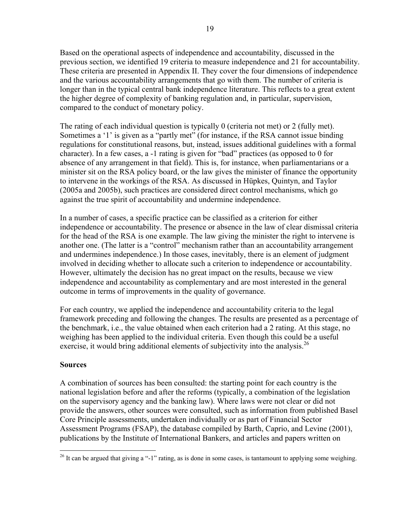Based on the operational aspects of independence and accountability, discussed in the previous section, we identified 19 criteria to measure independence and 21 for accountability. These criteria are presented in Appendix II. They cover the four dimensions of independence and the various accountability arrangements that go with them. The number of criteria is longer than in the typical central bank independence literature. This reflects to a great extent the higher degree of complexity of banking regulation and, in particular, supervision, compared to the conduct of monetary policy.

The rating of each individual question is typically 0 (criteria not met) or 2 (fully met). Sometimes a '1' is given as a "partly met" (for instance, if the RSA cannot issue binding regulations for constitutional reasons, but, instead, issues additional guidelines with a formal character). In a few cases, a -1 rating is given for "bad" practices (as opposed to 0 for absence of any arrangement in that field). This is, for instance, when parliamentarians or a minister sit on the RSA policy board, or the law gives the minister of finance the opportunity to intervene in the workings of the RSA. As discussed in Hüpkes, Quintyn, and Taylor (2005a and 2005b), such practices are considered direct control mechanisms, which go against the true spirit of accountability and undermine independence.

In a number of cases, a specific practice can be classified as a criterion for either independence or accountability. The presence or absence in the law of clear dismissal criteria for the head of the RSA is one example. The law giving the minister the right to intervene is another one. (The latter is a "control" mechanism rather than an accountability arrangement and undermines independence.) In those cases, inevitably, there is an element of judgment involved in deciding whether to allocate such a criterion to independence or accountability. However, ultimately the decision has no great impact on the results, because we view independence and accountability as complementary and are most interested in the general outcome in terms of improvements in the quality of governance.

For each country, we applied the independence and accountability criteria to the legal framework preceding and following the changes. The results are presented as a percentage of the benchmark, i.e., the value obtained when each criterion had a 2 rating. At this stage, no weighing has been applied to the individual criteria. Even though this could be a useful exercise, it would bring additional elements of subjectivity into the analysis.<sup>26</sup>

#### **Sources**

1

A combination of sources has been consulted: the starting point for each country is the national legislation before and after the reforms (typically, a combination of the legislation on the supervisory agency and the banking law). Where laws were not clear or did not provide the answers, other sources were consulted, such as information from published Basel Core Principle assessments, undertaken individually or as part of Financial Sector Assessment Programs (FSAP), the database compiled by Barth, Caprio, and Levine (2001), publications by the Institute of International Bankers, and articles and papers written on

<sup>&</sup>lt;sup>26</sup> It can be argued that giving a "-1" rating, as is done in some cases, is tantamount to applying some weighing.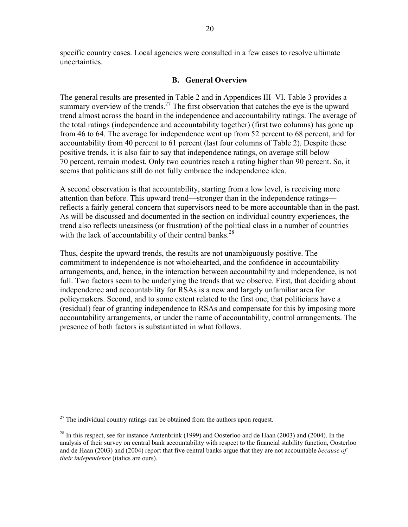specific country cases. Local agencies were consulted in a few cases to resolve ultimate uncertainties.

#### **B. General Overview**

The general results are presented in Table 2 and in Appendices III–VI. Table 3 provides a summary overview of the trends.<sup>27</sup> The first observation that catches the eye is the upward trend almost across the board in the independence and accountability ratings. The average of the total ratings (independence and accountability together) (first two columns) has gone up from 46 to 64. The average for independence went up from 52 percent to 68 percent, and for accountability from 40 percent to 61 percent (last four columns of Table 2). Despite these positive trends, it is also fair to say that independence ratings, on average still below 70 percent, remain modest. Only two countries reach a rating higher than 90 percent. So, it seems that politicians still do not fully embrace the independence idea.

A second observation is that accountability, starting from a low level, is receiving more attention than before. This upward trend—stronger than in the independence ratings reflects a fairly general concern that supervisors need to be more accountable than in the past. As will be discussed and documented in the section on individual country experiences, the trend also reflects uneasiness (or frustration) of the political class in a number of countries with the lack of accountability of their central banks.<sup>28</sup>

Thus, despite the upward trends, the results are not unambiguously positive. The commitment to independence is not wholehearted, and the confidence in accountability arrangements, and, hence, in the interaction between accountability and independence, is not full. Two factors seem to be underlying the trends that we observe. First, that deciding about independence and accountability for RSAs is a new and largely unfamiliar area for policymakers. Second, and to some extent related to the first one, that politicians have a (residual) fear of granting independence to RSAs and compensate for this by imposing more accountability arrangements, or under the name of accountability, control arrangements. The presence of both factors is substantiated in what follows.

1

 $27$  The individual country ratings can be obtained from the authors upon request.

<sup>&</sup>lt;sup>28</sup> In this respect, see for instance Amtenbrink (1999) and Oosterloo and de Haan (2003) and (2004). In the analysis of their survey on central bank accountability with respect to the financial stability function, Oosterloo and de Haan (2003) and (2004) report that five central banks argue that they are not accountable *because of their independence* (italics are ours).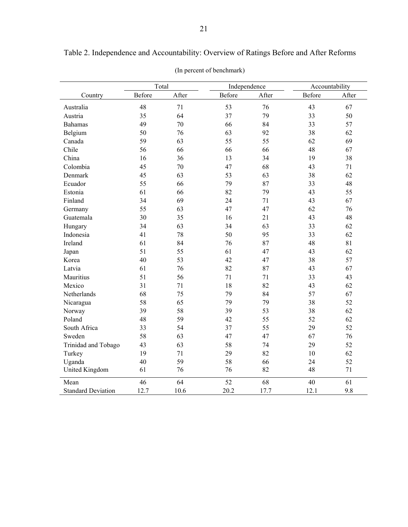|                     | Total  |       | Independence |       | Accountability |       |
|---------------------|--------|-------|--------------|-------|----------------|-------|
| Country             | Before | After | Before       | After | Before         | After |
| Australia           | 48     | 71    | 53           | 76    | 43             | 67    |
| Austria             | 35     | 64    | 37           | 79    | 33             | 50    |
| <b>Bahamas</b>      | 49     | 70    | 66           | 84    | 33             | 57    |
| Belgium             | 50     | 76    | 63           | 92    | 38             | 62    |
| Canada              | 59     | 63    | 55           | 55    | 62             | 69    |
| Chile               | 56     | 66    | 66           | 66    | 48             | 67    |
| China               | 16     | 36    | 13           | 34    | 19             | 38    |
| Colombia            | 45     | 70    | 47           | 68    | 43             | 71    |
| Denmark             | 45     | 63    | 53           | 63    | 38             | 62    |
| Ecuador             | 55     | 66    | 79           | 87    | 33             | 48    |
| Estonia             | 61     | 66    | 82           | 79    | 43             | 55    |
| Finland             | 34     | 69    | 24           | 71    | 43             | 67    |
| Germany             | 55     | 63    | 47           | 47    | 62             | 76    |
| Guatemala           | 30     | 35    | 16           | 21    | 43             | 48    |
| Hungary             | 34     | 63    | 34           | 63    | 33             | 62    |
| Indonesia           | 41     | 78    | 50           | 95    | 33             | 62    |
| Ireland             | 61     | 84    | 76           | 87    | 48             | 81    |
| Japan               | 51     | 55    | 61           | 47    | 43             | 62    |
| Korea               | 40     | 53    | 42           | 47    | 38             | 57    |
| Latvia              | 61     | 76    | 82           | 87    | 43             | 67    |
| Mauritius           | 51     | 56    | 71           | 71    | 33             | 43    |
| Mexico              | 31     | 71    | 18           | 82    | 43             | 62    |
| Netherlands         | 68     | 75    | 79           | 84    | 57             | 67    |
| Nicaragua           | 58     | 65    | 79           | 79    | 38             | 52    |
| Norway              | 39     | 58    | 39           | 53    | 38             | 62    |
| Poland              | 48     | 59    | 42           | 55    | 52             | 62    |
| South Africa        | 33     | 54    | 37           | 55    | 29             | 52    |
| Sweden              | 58     | 63    | 47           | 47    | 67             | 76    |
| Trinidad and Tobago | 43     | 63    | 58           | 74    | 29             | 52    |
| Turkey              | 19     | 71    | 29           | 82    | 10             | 62    |
| Uganda              | 40     | 59    | 58           | 66    | 24             | 52    |
| United Kingdom      | 61     | 76    | 76           | 82    | 48             | 71    |

Mean 19 46 64 52 68 40 61 Standard Deviation 12.7 10.6 20.2 17.7 12.1 9.8

Table 2. Independence and Accountability: Overview of Ratings Before and After Reforms

(In percent of benchmark)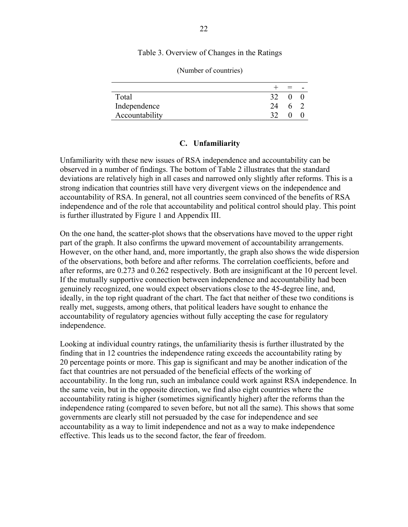Table 3. Overview of Changes in the Ratings

|                |     | $=$ $-$      |     |
|----------------|-----|--------------|-----|
| Total          | 32  | $\mathbf{0}$ |     |
| Independence   | 24  |              | 6 2 |
| Accountability | 32. | 0            |     |

(Number of countries)

#### **C. Unfamiliarity**

Unfamiliarity with these new issues of RSA independence and accountability can be observed in a number of findings. The bottom of Table 2 illustrates that the standard deviations are relatively high in all cases and narrowed only slightly after reforms. This is a strong indication that countries still have very divergent views on the independence and accountability of RSA. In general, not all countries seem convinced of the benefits of RSA independence and of the role that accountability and political control should play. This point is further illustrated by Figure 1 and Appendix III.

On the one hand, the scatter-plot shows that the observations have moved to the upper right part of the graph. It also confirms the upward movement of accountability arrangements. However, on the other hand, and, more importantly, the graph also shows the wide dispersion of the observations, both before and after reforms. The correlation coefficients, before and after reforms, are 0.273 and 0.262 respectively. Both are insignificant at the 10 percent level. If the mutually supportive connection between independence and accountability had been genuinely recognized, one would expect observations close to the 45-degree line, and, ideally, in the top right quadrant of the chart. The fact that neither of these two conditions is really met, suggests, among others, that political leaders have sought to enhance the accountability of regulatory agencies without fully accepting the case for regulatory independence.

Looking at individual country ratings, the unfamiliarity thesis is further illustrated by the finding that in 12 countries the independence rating exceeds the accountability rating by 20 percentage points or more. This gap is significant and may be another indication of the fact that countries are not persuaded of the beneficial effects of the working of accountability. In the long run, such an imbalance could work against RSA independence. In the same vein, but in the opposite direction, we find also eight countries where the accountability rating is higher (sometimes significantly higher) after the reforms than the independence rating (compared to seven before, but not all the same). This shows that some governments are clearly still not persuaded by the case for independence and see accountability as a way to limit independence and not as a way to make independence effective. This leads us to the second factor, the fear of freedom.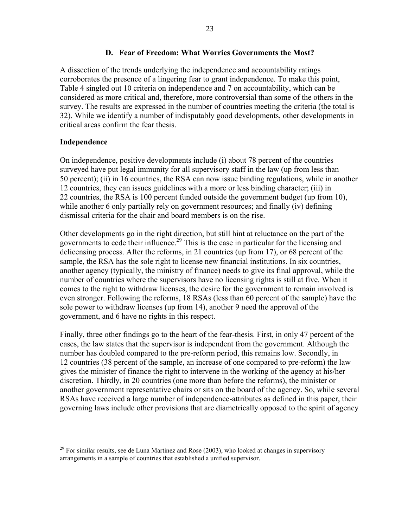#### **D. Fear of Freedom: What Worries Governments the Most?**

A dissection of the trends underlying the independence and accountability ratings corroborates the presence of a lingering fear to grant independence. To make this point, Table 4 singled out 10 criteria on independence and 7 on accountability, which can be considered as more critical and, therefore, more controversial than some of the others in the survey. The results are expressed in the number of countries meeting the criteria (the total is 32). While we identify a number of indisputably good developments, other developments in critical areas confirm the fear thesis.

#### **Independence**

1

On independence, positive developments include (i) about 78 percent of the countries surveyed have put legal immunity for all supervisory staff in the law (up from less than 50 percent); (ii) in 16 countries, the RSA can now issue binding regulations, while in another 12 countries, they can issues guidelines with a more or less binding character; (iii) in 22 countries, the RSA is 100 percent funded outside the government budget (up from 10), while another 6 only partially rely on government resources; and finally (iv) defining dismissal criteria for the chair and board members is on the rise.

Other developments go in the right direction, but still hint at reluctance on the part of the governments to cede their influence.<sup>29</sup> This is the case in particular for the licensing and delicensing process. After the reforms, in 21 countries (up from 17), or 68 percent of the sample, the RSA has the sole right to license new financial institutions. In six countries, another agency (typically, the ministry of finance) needs to give its final approval, while the number of countries where the supervisors have no licensing rights is still at five. When it comes to the right to withdraw licenses, the desire for the government to remain involved is even stronger. Following the reforms, 18 RSAs (less than 60 percent of the sample) have the sole power to withdraw licenses (up from 14), another 9 need the approval of the government, and 6 have no rights in this respect.

Finally, three other findings go to the heart of the fear-thesis. First, in only 47 percent of the cases, the law states that the supervisor is independent from the government. Although the number has doubled compared to the pre-reform period, this remains low. Secondly, in 12 countries (38 percent of the sample, an increase of one compared to pre-reform) the law gives the minister of finance the right to intervene in the working of the agency at his/her discretion. Thirdly, in 20 countries (one more than before the reforms), the minister or another government representative chairs or sits on the board of the agency. So, while several RSAs have received a large number of independence-attributes as defined in this paper, their governing laws include other provisions that are diametrically opposed to the spirit of agency

 $^{29}$  For similar results, see de Luna Martinez and Rose (2003), who looked at changes in supervisory arrangements in a sample of countries that established a unified supervisor.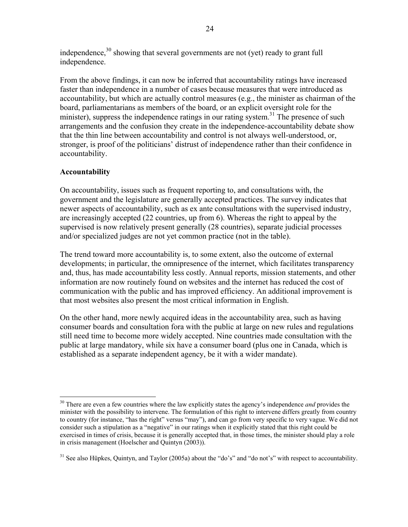independence,<sup>30</sup> showing that several governments are not (yet) ready to grant full independence.

From the above findings, it can now be inferred that accountability ratings have increased faster than independence in a number of cases because measures that were introduced as accountability, but which are actually control measures (e.g., the minister as chairman of the board, parliamentarians as members of the board, or an explicit oversight role for the minister), suppress the independence ratings in our rating system.<sup>31</sup> The presence of such arrangements and the confusion they create in the independence-accountability debate show that the thin line between accountability and control is not always well-understood, or, stronger, is proof of the politicians' distrust of independence rather than their confidence in accountability.

#### **Accountability**

On accountability, issues such as frequent reporting to, and consultations with, the government and the legislature are generally accepted practices. The survey indicates that newer aspects of accountability, such as ex ante consultations with the supervised industry, are increasingly accepted (22 countries, up from 6). Whereas the right to appeal by the supervised is now relatively present generally (28 countries), separate judicial processes and/or specialized judges are not yet common practice (not in the table).

The trend toward more accountability is, to some extent, also the outcome of external developments; in particular, the omnipresence of the internet, which facilitates transparency and, thus, has made accountability less costly. Annual reports, mission statements, and other information are now routinely found on websites and the internet has reduced the cost of communication with the public and has improved efficiency. An additional improvement is that most websites also present the most critical information in English.

On the other hand, more newly acquired ideas in the accountability area, such as having consumer boards and consultation fora with the public at large on new rules and regulations still need time to become more widely accepted. Nine countries made consultation with the public at large mandatory, while six have a consumer board (plus one in Canada, which is established as a separate independent agency, be it with a wider mandate).

 $\overline{a}$ 30 There are even a few countries where the law explicitly states the agency's independence *and* provides the minister with the possibility to intervene. The formulation of this right to intervene differs greatly from country to country (for instance, "has the right" versus "may"), and can go from very specific to very vague. We did not consider such a stipulation as a "negative" in our ratings when it explicitly stated that this right could be exercised in times of crisis, because it is generally accepted that, in those times, the minister should play a role in crisis management (Hoelscher and Quintyn (2003)).

<sup>&</sup>lt;sup>31</sup> See also Hüpkes, Quintyn, and Taylor (2005a) about the "do's" and "do not's" with respect to accountability.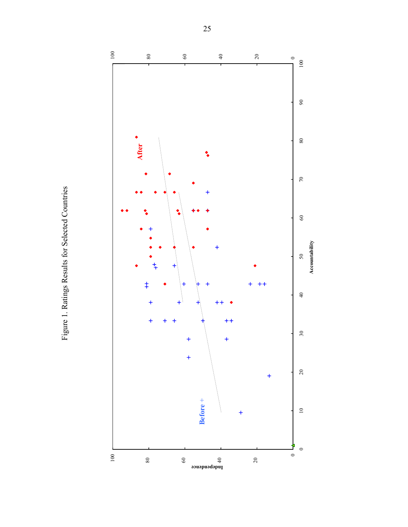Figure 1. Ratings Results for Selected Countries Figure 1. Ratings Results for Selected Countries

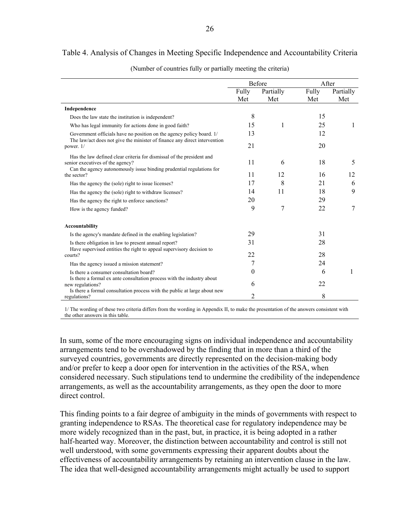#### Table 4. Analysis of Changes in Meeting Specific Independence and Accountability Criteria

|                                                                                                           | Before   |           | After |           |
|-----------------------------------------------------------------------------------------------------------|----------|-----------|-------|-----------|
|                                                                                                           | Fully    | Partially | Fully | Partially |
|                                                                                                           | Met      | Met       | Met   | Met       |
| Independence                                                                                              |          |           |       |           |
| Does the law state the institution is independent?                                                        | 8        |           | 15    |           |
| Who has legal immunity for actions done in good faith?                                                    | 15       | 1         | 25    | 1         |
| Government officials have no position on the agency policy board. 1/                                      | 13       |           | 12    |           |
| The law/act does not give the minister of finance any direct intervention<br>power. $1/$                  | 21       |           | 20    |           |
| Has the law defined clear criteria for dismissal of the president and<br>senior executives of the agency? | 11       | 6         | 18    | 5         |
| Can the agency autonomously issue binding prudential regulations for<br>the sector?                       | 11       | 12        | 16    | 12        |
| Has the agency the (sole) right to issue licenses?                                                        | 17       | 8         | 21    | 6         |
| Has the agency the (sole) right to withdraw licenses?                                                     | 14       | 11        | 18    | 9         |
| Has the agency the right to enforce sanctions?                                                            | 20       |           | 29    |           |
| How is the agency funded?                                                                                 | 9        | 7         | 22    | 7         |
| Accountability                                                                                            |          |           |       |           |
| Is the agency's mandate defined in the enabling legislation?                                              | 29       |           | 31    |           |
| Is there obligation in law to present annual report?                                                      | 31       |           | 28    |           |
| Have supervised entities the right to appeal supervisory decision to<br>courts?                           | 22       |           | 28    |           |
| Has the agency issued a mission statement?                                                                | 7        |           | 24    |           |
| Is there a consumer consultation board?                                                                   | $\theta$ |           | 6     |           |
| Is there a formal ex ante consultation process with the industry about<br>new regulations?                | 6        |           | 22    |           |
| Is there a formal consultation process with the public at large about new<br>regulations?                 | 2        |           | 8     |           |

(Number of countries fully or partially meeting the criteria)

1/ The wording of these two criteria differs from the wording in Appendix II, to make the presentation of the answers consistent with the other answers in this table.

In sum, some of the more encouraging signs on individual independence and accountability arrangements tend to be overshadowed by the finding that in more than a third of the surveyed countries, governments are directly represented on the decision-making body and/or prefer to keep a door open for intervention in the activities of the RSA, when considered necessary. Such stipulations tend to undermine the credibility of the independence arrangements, as well as the accountability arrangements, as they open the door to more direct control.

This finding points to a fair degree of ambiguity in the minds of governments with respect to granting independence to RSAs. The theoretical case for regulatory independence may be more widely recognized than in the past, but, in practice, it is being adopted in a rather half-hearted way. Moreover, the distinction between accountability and control is still not well understood, with some governments expressing their apparent doubts about the effectiveness of accountability arrangements by retaining an intervention clause in the law. The idea that well-designed accountability arrangements might actually be used to support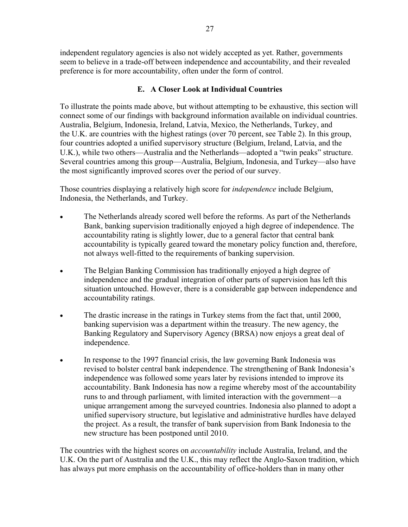independent regulatory agencies is also not widely accepted as yet. Rather, governments seem to believe in a trade-off between independence and accountability, and their revealed preference is for more accountability, often under the form of control.

#### **E. A Closer Look at Individual Countries**

To illustrate the points made above, but without attempting to be exhaustive, this section will connect some of our findings with background information available on individual countries. Australia, Belgium, Indonesia, Ireland, Latvia, Mexico, the Netherlands, Turkey, and the U.K. are countries with the highest ratings (over 70 percent, see Table 2). In this group, four countries adopted a unified supervisory structure (Belgium, Ireland, Latvia, and the U.K.), while two others—Australia and the Netherlands—adopted a "twin peaks" structure. Several countries among this group—Australia, Belgium, Indonesia, and Turkey—also have the most significantly improved scores over the period of our survey.

Those countries displaying a relatively high score for *independence* include Belgium, Indonesia, the Netherlands, and Turkey.

- The Netherlands already scored well before the reforms. As part of the Netherlands Bank, banking supervision traditionally enjoyed a high degree of independence. The accountability rating is slightly lower, due to a general factor that central bank accountability is typically geared toward the monetary policy function and, therefore, not always well-fitted to the requirements of banking supervision.
- The Belgian Banking Commission has traditionally enjoyed a high degree of independence and the gradual integration of other parts of supervision has left this situation untouched. However, there is a considerable gap between independence and accountability ratings.
- The drastic increase in the ratings in Turkey stems from the fact that, until 2000, banking supervision was a department within the treasury. The new agency, the Banking Regulatory and Supervisory Agency (BRSA) now enjoys a great deal of independence.
- In response to the 1997 financial crisis, the law governing Bank Indonesia was revised to bolster central bank independence. The strengthening of Bank Indonesia's independence was followed some years later by revisions intended to improve its accountability. Bank Indonesia has now a regime whereby most of the accountability runs to and through parliament, with limited interaction with the government—a unique arrangement among the surveyed countries. Indonesia also planned to adopt a unified supervisory structure, but legislative and administrative hurdles have delayed the project. As a result, the transfer of bank supervision from Bank Indonesia to the new structure has been postponed until 2010.

The countries with the highest scores on *accountability* include Australia, Ireland, and the U.K. On the part of Australia and the U.K., this may reflect the Anglo-Saxon tradition, which has always put more emphasis on the accountability of office-holders than in many other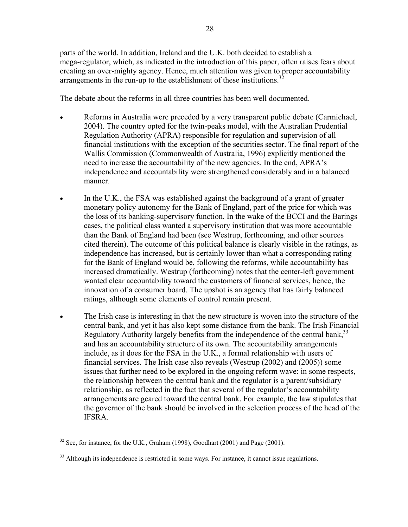parts of the world. In addition, Ireland and the U.K. both decided to establish a mega-regulator, which, as indicated in the introduction of this paper, often raises fears about creating an over-mighty agency. Hence, much attention was given to proper accountability arrangements in the run-up to the establishment of these institutions.<sup>3</sup>

The debate about the reforms in all three countries has been well documented.

- Reforms in Australia were preceded by a very transparent public debate (Carmichael, 2004). The country opted for the twin-peaks model, with the Australian Prudential Regulation Authority (APRA) responsible for regulation and supervision of all financial institutions with the exception of the securities sector. The final report of the Wallis Commission (Commonwealth of Australia, 1996) explicitly mentioned the need to increase the accountability of the new agencies. In the end, APRA's independence and accountability were strengthened considerably and in a balanced manner.
- In the U.K., the FSA was established against the background of a grant of greater monetary policy autonomy for the Bank of England, part of the price for which was the loss of its banking-supervisory function. In the wake of the BCCI and the Barings cases, the political class wanted a supervisory institution that was more accountable than the Bank of England had been (see Westrup, forthcoming, and other sources cited therein). The outcome of this political balance is clearly visible in the ratings, as independence has increased, but is certainly lower than what a corresponding rating for the Bank of England would be, following the reforms, while accountability has increased dramatically. Westrup (forthcoming) notes that the center-left government wanted clear accountability toward the customers of financial services, hence, the innovation of a consumer board. The upshot is an agency that has fairly balanced ratings, although some elements of control remain present.
- The Irish case is interesting in that the new structure is woven into the structure of the central bank, and yet it has also kept some distance from the bank. The Irish Financial Regulatory Authority largely benefits from the independence of the central bank,  $33$ and has an accountability structure of its own. The accountability arrangements include, as it does for the FSA in the U.K., a formal relationship with users of financial services. The Irish case also reveals (Westrup (2002) and (2005)) some issues that further need to be explored in the ongoing reform wave: in some respects, the relationship between the central bank and the regulator is a parent/subsidiary relationship, as reflected in the fact that several of the regulator's accountability arrangements are geared toward the central bank. For example, the law stipulates that the governor of the bank should be involved in the selection process of the head of the IFSRA.

1

 $32$  See, for instance, for the U.K., Graham (1998), Goodhart (2001) and Page (2001).

<sup>&</sup>lt;sup>33</sup> Although its independence is restricted in some ways. For instance, it cannot issue regulations.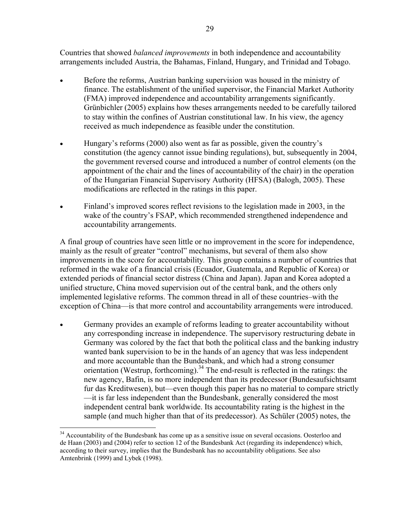Countries that showed *balanced improvements* in both independence and accountability arrangements included Austria, the Bahamas, Finland, Hungary, and Trinidad and Tobago.

- Before the reforms, Austrian banking supervision was housed in the ministry of finance. The establishment of the unified supervisor, the Financial Market Authority (FMA) improved independence and accountability arrangements significantly. Grünbichler (2005) explains how theses arrangements needed to be carefully tailored to stay within the confines of Austrian constitutional law. In his view, the agency received as much independence as feasible under the constitution.
- Hungary's reforms (2000) also went as far as possible, given the country's constitution (the agency cannot issue binding regulations), but, subsequently in 2004, the government reversed course and introduced a number of control elements (on the appointment of the chair and the lines of accountability of the chair) in the operation of the Hungarian Financial Supervisory Authority (HFSA) (Balogh, 2005). These modifications are reflected in the ratings in this paper.
- Finland's improved scores reflect revisions to the legislation made in 2003, in the wake of the country's FSAP, which recommended strengthened independence and accountability arrangements.

A final group of countries have seen little or no improvement in the score for independence, mainly as the result of greater "control" mechanisms, but several of them also show improvements in the score for accountability*.* This group contains a number of countries that reformed in the wake of a financial crisis (Ecuador, Guatemala, and Republic of Korea) or extended periods of financial sector distress (China and Japan). Japan and Korea adopted a unified structure, China moved supervision out of the central bank, and the others only implemented legislative reforms. The common thread in all of these countries–with the exception of China—is that more control and accountability arrangements were introduced.

• Germany provides an example of reforms leading to greater accountability without any corresponding increase in independence. The supervisory restructuring debate in Germany was colored by the fact that both the political class and the banking industry wanted bank supervision to be in the hands of an agency that was less independent and more accountable than the Bundesbank, and which had a strong consumer orientation (Westrup, forthcoming).<sup>34</sup> The end-result is reflected in the ratings: the new agency, Bafin, is no more independent than its predecessor (Bundesaufsichtsamt fur das Kreditwesen), but—even though this paper has no material to compare strictly —it is far less independent than the Bundesbank, generally considered the most independent central bank worldwide. Its accountability rating is the highest in the sample (and much higher than that of its predecessor). As Schüler (2005) notes, the

 $\overline{a}$ 

<sup>&</sup>lt;sup>34</sup> Accountability of the Bundesbank has come up as a sensitive issue on several occasions. Oosterloo and de Haan (2003) and (2004) refer to section 12 of the Bundesbank Act (regarding its independence) which, according to their survey, implies that the Bundesbank has no accountability obligations. See also Amtenbrink (1999) and Lybek (1998).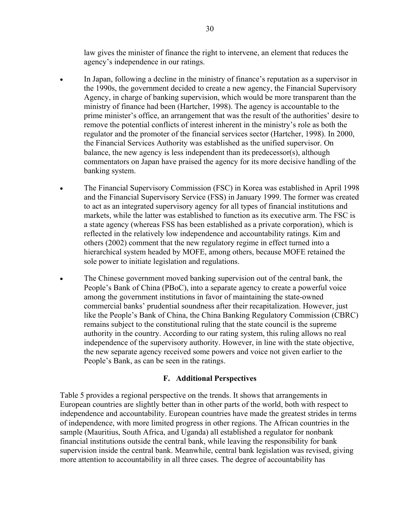law gives the minister of finance the right to intervene, an element that reduces the agency's independence in our ratings.

- In Japan, following a decline in the ministry of finance's reputation as a supervisor in the 1990s, the government decided to create a new agency, the Financial Supervisory Agency, in charge of banking supervision, which would be more transparent than the ministry of finance had been (Hartcher, 1998). The agency is accountable to the prime minister's office, an arrangement that was the result of the authorities' desire to remove the potential conflicts of interest inherent in the ministry's role as both the regulator and the promoter of the financial services sector (Hartcher, 1998). In 2000, the Financial Services Authority was established as the unified supervisor. On balance, the new agency is less independent than its predecessor(s), although commentators on Japan have praised the agency for its more decisive handling of the banking system.
- The Financial Supervisory Commission (FSC) in Korea was established in April 1998 and the Financial Supervisory Service (FSS) in January 1999. The former was created to act as an integrated supervisory agency for all types of financial institutions and markets, while the latter was established to function as its executive arm. The FSC is a state agency (whereas FSS has been established as a private corporation), which is reflected in the relatively low independence and accountability ratings. Kim and others (2002) comment that the new regulatory regime in effect turned into a hierarchical system headed by MOFE, among others, because MOFE retained the sole power to initiate legislation and regulations.
- The Chinese government moved banking supervision out of the central bank, the People's Bank of China (PBoC), into a separate agency to create a powerful voice among the government institutions in favor of maintaining the state-owned commercial banks' prudential soundness after their recapitalization. However, just like the People's Bank of China, the China Banking Regulatory Commission (CBRC) remains subject to the constitutional ruling that the state council is the supreme authority in the country. According to our rating system, this ruling allows no real independence of the supervisory authority. However, in line with the state objective, the new separate agency received some powers and voice not given earlier to the People's Bank, as can be seen in the ratings.

#### **F. Additional Perspectives**

Table 5 provides a regional perspective on the trends. It shows that arrangements in European countries are slightly better than in other parts of the world, both with respect to independence and accountability. European countries have made the greatest strides in terms of independence, with more limited progress in other regions. The African countries in the sample (Mauritius, South Africa, and Uganda) all established a regulator for nonbank financial institutions outside the central bank, while leaving the responsibility for bank supervision inside the central bank. Meanwhile, central bank legislation was revised, giving more attention to accountability in all three cases. The degree of accountability has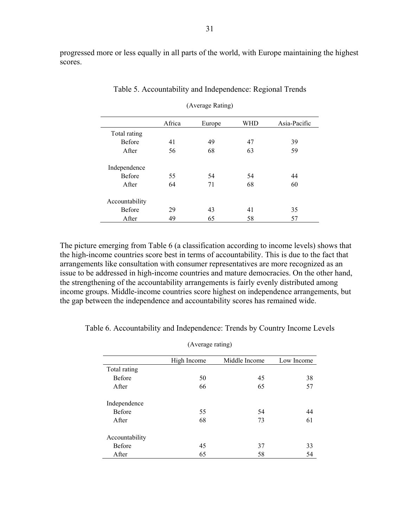progressed more or less equally in all parts of the world, with Europe maintaining the highest scores.

|                | Africa | Europe | <b>WHD</b> | Asia-Pacific |
|----------------|--------|--------|------------|--------------|
| Total rating   |        |        |            |              |
| <b>Before</b>  | 41     | 49     | 47         | 39           |
| After          | 56     | 68     | 63         | 59           |
| Independence   |        |        |            |              |
| <b>Before</b>  | 55     | 54     | 54         | 44           |
| After          | 64     | 71     | 68         | 60           |
| Accountability |        |        |            |              |
| <b>Before</b>  | 29     | 43     | 41         | 35           |
| After          | 49     | 65     | 58         | 57           |

Table 5. Accountability and Independence: Regional Trends

(Average Rating)

The picture emerging from Table 6 (a classification according to income levels) shows that the high-income countries score best in terms of accountability. This is due to the fact that arrangements like consultation with consumer representatives are more recognized as an issue to be addressed in high-income countries and mature democracies. On the other hand, the strengthening of the accountability arrangements is fairly evenly distributed among income groups. Middle-income countries score highest on independence arrangements, but the gap between the independence and accountability scores has remained wide.

| (Average rating) |             |               |            |
|------------------|-------------|---------------|------------|
|                  | High Income | Middle Income | Low Income |
| Total rating     |             |               |            |
| <b>Before</b>    | 50          | 45            | 38         |
| After            | 66          | 65            | 57         |
| Independence     |             |               |            |
| <b>Before</b>    | 55          | 54            | 44         |
| After            | 68          | 73            | 61         |
| Accountability   |             |               |            |
| <b>Before</b>    | 45          | 37            | 33         |
| After            | 65          | 58            | 54         |

Table 6. Accountability and Independence: Trends by Country Income Levels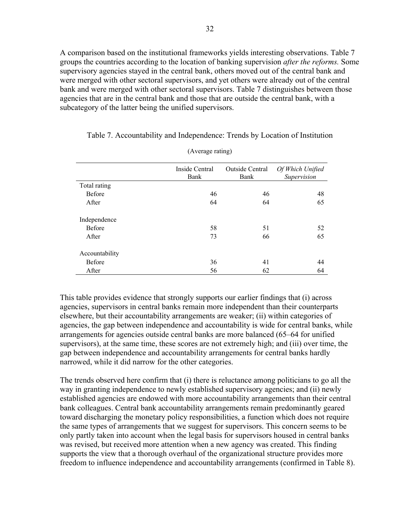A comparison based on the institutional frameworks yields interesting observations. Table 7 groups the countries according to the location of banking supervision *after the reforms.* Some supervisory agencies stayed in the central bank, others moved out of the central bank and were merged with other sectoral supervisors, and yet others were already out of the central bank and were merged with other sectoral supervisors. Table 7 distinguishes between those agencies that are in the central bank and those that are outside the central bank, with a subcategory of the latter being the unified supervisors.

|                | Inside Central<br>Bank | Outside Central<br>Bank | Of Which Unified<br>Supervision |
|----------------|------------------------|-------------------------|---------------------------------|
| Total rating   |                        |                         |                                 |
| <b>Before</b>  | 46                     | 46                      | 48                              |
| After          | 64                     | 64                      | 65                              |
| Independence   |                        |                         |                                 |
| <b>Before</b>  | 58                     | 51                      | 52                              |
| After          | 73                     | 66                      | 65                              |
| Accountability |                        |                         |                                 |
| <b>Before</b>  | 36                     | 41                      | 44                              |
| After          | 56                     | 62                      | 64                              |

Table 7. Accountability and Independence: Trends by Location of Institution

(Average rating)

This table provides evidence that strongly supports our earlier findings that (i) across agencies, supervisors in central banks remain more independent than their counterparts elsewhere, but their accountability arrangements are weaker; (ii) within categories of agencies, the gap between independence and accountability is wide for central banks, while arrangements for agencies outside central banks are more balanced (65–64 for unified supervisors), at the same time, these scores are not extremely high; and (iii) over time, the gap between independence and accountability arrangements for central banks hardly narrowed, while it did narrow for the other categories.

The trends observed here confirm that (i) there is reluctance among politicians to go all the way in granting independence to newly established supervisory agencies; and (ii) newly established agencies are endowed with more accountability arrangements than their central bank colleagues. Central bank accountability arrangements remain predominantly geared toward discharging the monetary policy responsibilities, a function which does not require the same types of arrangements that we suggest for supervisors. This concern seems to be only partly taken into account when the legal basis for supervisors housed in central banks was revised, but received more attention when a new agency was created. This finding supports the view that a thorough overhaul of the organizational structure provides more freedom to influence independence and accountability arrangements (confirmed in Table 8).

| ۰.           |  |
|--------------|--|
| I<br>۰.<br>× |  |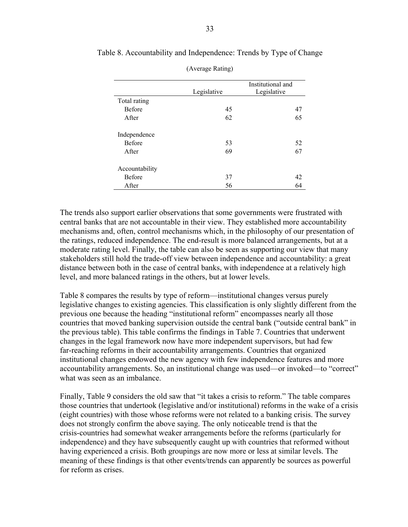|                | Legislative | Institutional and<br>Legislative |
|----------------|-------------|----------------------------------|
| Total rating   |             |                                  |
| <b>Before</b>  | 45          | 47                               |
| After          | 62          | 65                               |
| Independence   |             |                                  |
| <b>Before</b>  | 53          | 52                               |
| After          | 69          | 67                               |
| Accountability |             |                                  |
| <b>Before</b>  | 37          | 42                               |
| After          | 56          | 64                               |

Table 8. Accountability and Independence: Trends by Type of Change

| (Average Rating) |  |
|------------------|--|
|                  |  |

The trends also support earlier observations that some governments were frustrated with central banks that are not accountable in their view. They established more accountability mechanisms and, often, control mechanisms which, in the philosophy of our presentation of the ratings, reduced independence. The end-result is more balanced arrangements, but at a moderate rating level. Finally, the table can also be seen as supporting our view that many stakeholders still hold the trade-off view between independence and accountability: a great distance between both in the case of central banks, with independence at a relatively high level, and more balanced ratings in the others, but at lower levels.

Table 8 compares the results by type of reform—institutional changes versus purely legislative changes to existing agencies. This classification is only slightly different from the previous one because the heading "institutional reform" encompasses nearly all those countries that moved banking supervision outside the central bank ("outside central bank" in the previous table). This table confirms the findings in Table 7. Countries that underwent changes in the legal framework now have more independent supervisors, but had few far-reaching reforms in their accountability arrangements. Countries that organized institutional changes endowed the new agency with few independence features and more accountability arrangements. So, an institutional change was used—or invoked—to "correct" what was seen as an imbalance.

Finally, Table 9 considers the old saw that "it takes a crisis to reform." The table compares those countries that undertook (legislative and/or institutional) reforms in the wake of a crisis (eight countries) with those whose reforms were not related to a banking crisis. The survey does not strongly confirm the above saying. The only noticeable trend is that the crisis-countries had somewhat weaker arrangements before the reforms (particularly for independence) and they have subsequently caught up with countries that reformed without having experienced a crisis. Both groupings are now more or less at similar levels. The meaning of these findings is that other events/trends can apparently be sources as powerful for reform as crises.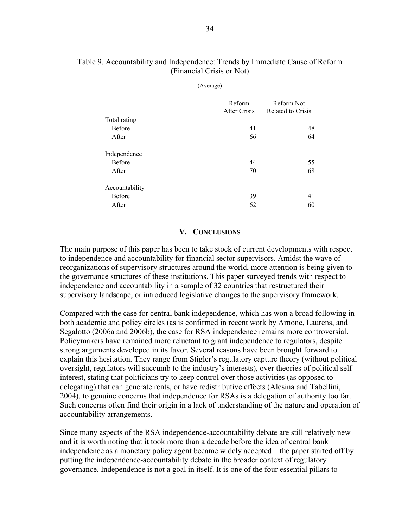|                | Reform       | Reform Not        |
|----------------|--------------|-------------------|
|                | After Crisis | Related to Crisis |
| Total rating   |              |                   |
| <b>Before</b>  | 41           | 48                |
| After          | 66           | 64                |
| Independence   |              |                   |
| <b>Before</b>  | 44           | 55                |
| After          | 70           | 68                |
| Accountability |              |                   |
| <b>Before</b>  | 39           | 41                |
| After          | 62           | 60                |

#### Table 9. Accountability and Independence: Trends by Immediate Cause of Reform (Financial Crisis or Not)

(Average)

#### **V. CONCLUSIONS**

The main purpose of this paper has been to take stock of current developments with respect to independence and accountability for financial sector supervisors. Amidst the wave of reorganizations of supervisory structures around the world, more attention is being given to the governance structures of these institutions. This paper surveyed trends with respect to independence and accountability in a sample of 32 countries that restructured their supervisory landscape, or introduced legislative changes to the supervisory framework.

Compared with the case for central bank independence, which has won a broad following in both academic and policy circles (as is confirmed in recent work by Arnone, Laurens, and Segalotto (2006a and 2006b), the case for RSA independence remains more controversial. Policymakers have remained more reluctant to grant independence to regulators, despite strong arguments developed in its favor. Several reasons have been brought forward to explain this hesitation. They range from Stigler's regulatory capture theory (without political oversight, regulators will succumb to the industry's interests), over theories of political selfinterest, stating that politicians try to keep control over those activities (as opposed to delegating) that can generate rents, or have redistributive effects (Alesina and Tabellini, 2004), to genuine concerns that independence for RSAs is a delegation of authority too far. Such concerns often find their origin in a lack of understanding of the nature and operation of accountability arrangements.

Since many aspects of the RSA independence-accountability debate are still relatively new and it is worth noting that it took more than a decade before the idea of central bank independence as a monetary policy agent became widely accepted—the paper started off by putting the independence-accountability debate in the broader context of regulatory governance. Independence is not a goal in itself. It is one of the four essential pillars to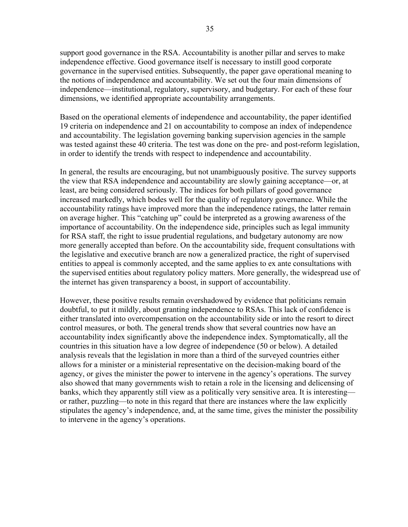support good governance in the RSA. Accountability is another pillar and serves to make independence effective. Good governance itself is necessary to instill good corporate governance in the supervised entities. Subsequently, the paper gave operational meaning to the notions of independence and accountability. We set out the four main dimensions of independence—institutional, regulatory, supervisory, and budgetary. For each of these four dimensions, we identified appropriate accountability arrangements.

Based on the operational elements of independence and accountability, the paper identified 19 criteria on independence and 21 on accountability to compose an index of independence and accountability. The legislation governing banking supervision agencies in the sample was tested against these 40 criteria. The test was done on the pre- and post-reform legislation, in order to identify the trends with respect to independence and accountability.

In general, the results are encouraging, but not unambiguously positive. The survey supports the view that RSA independence and accountability are slowly gaining acceptance—or, at least, are being considered seriously. The indices for both pillars of good governance increased markedly, which bodes well for the quality of regulatory governance. While the accountability ratings have improved more than the independence ratings, the latter remain on average higher. This "catching up" could be interpreted as a growing awareness of the importance of accountability. On the independence side, principles such as legal immunity for RSA staff, the right to issue prudential regulations, and budgetary autonomy are now more generally accepted than before. On the accountability side, frequent consultations with the legislative and executive branch are now a generalized practice, the right of supervised entities to appeal is commonly accepted, and the same applies to ex ante consultations with the supervised entities about regulatory policy matters. More generally, the widespread use of the internet has given transparency a boost, in support of accountability.

However, these positive results remain overshadowed by evidence that politicians remain doubtful, to put it mildly, about granting independence to RSAs. This lack of confidence is either translated into overcompensation on the accountability side or into the resort to direct control measures, or both. The general trends show that several countries now have an accountability index significantly above the independence index. Symptomatically, all the countries in this situation have a low degree of independence (50 or below). A detailed analysis reveals that the legislation in more than a third of the surveyed countries either allows for a minister or a ministerial representative on the decision-making board of the agency, or gives the minister the power to intervene in the agency's operations. The survey also showed that many governments wish to retain a role in the licensing and delicensing of banks, which they apparently still view as a politically very sensitive area. It is interesting or rather, puzzling—to note in this regard that there are instances where the law explicitly stipulates the agency's independence, and, at the same time, gives the minister the possibility to intervene in the agency's operations.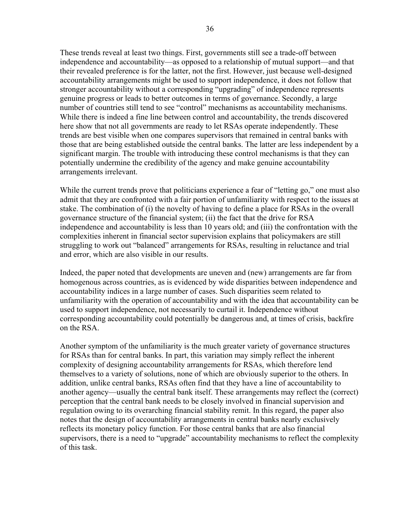These trends reveal at least two things. First, governments still see a trade-off between independence and accountability—as opposed to a relationship of mutual support—and that their revealed preference is for the latter, not the first. However, just because well-designed accountability arrangements might be used to support independence, it does not follow that stronger accountability without a corresponding "upgrading" of independence represents genuine progress or leads to better outcomes in terms of governance. Secondly, a large number of countries still tend to see "control" mechanisms as accountability mechanisms. While there is indeed a fine line between control and accountability, the trends discovered here show that not all governments are ready to let RSAs operate independently. These trends are best visible when one compares supervisors that remained in central banks with those that are being established outside the central banks. The latter are less independent by a significant margin. The trouble with introducing these control mechanisms is that they can potentially undermine the credibility of the agency and make genuine accountability arrangements irrelevant.

While the current trends prove that politicians experience a fear of "letting go," one must also admit that they are confronted with a fair portion of unfamiliarity with respect to the issues at stake. The combination of (i) the novelty of having to define a place for RSAs in the overall governance structure of the financial system; (ii) the fact that the drive for RSA independence and accountability is less than 10 years old; and (iii) the confrontation with the complexities inherent in financial sector supervision explains that policymakers are still struggling to work out "balanced" arrangements for RSAs, resulting in reluctance and trial and error, which are also visible in our results.

Indeed, the paper noted that developments are uneven and (new) arrangements are far from homogenous across countries, as is evidenced by wide disparities between independence and accountability indices in a large number of cases. Such disparities seem related to unfamiliarity with the operation of accountability and with the idea that accountability can be used to support independence, not necessarily to curtail it. Independence without corresponding accountability could potentially be dangerous and, at times of crisis, backfire on the RSA.

Another symptom of the unfamiliarity is the much greater variety of governance structures for RSAs than for central banks. In part, this variation may simply reflect the inherent complexity of designing accountability arrangements for RSAs, which therefore lend themselves to a variety of solutions, none of which are obviously superior to the others. In addition, unlike central banks, RSAs often find that they have a line of accountability to another agency—usually the central bank itself. These arrangements may reflect the (correct) perception that the central bank needs to be closely involved in financial supervision and regulation owing to its overarching financial stability remit. In this regard, the paper also notes that the design of accountability arrangements in central banks nearly exclusively reflects its monetary policy function. For those central banks that are also financial supervisors, there is a need to "upgrade" accountability mechanisms to reflect the complexity of this task.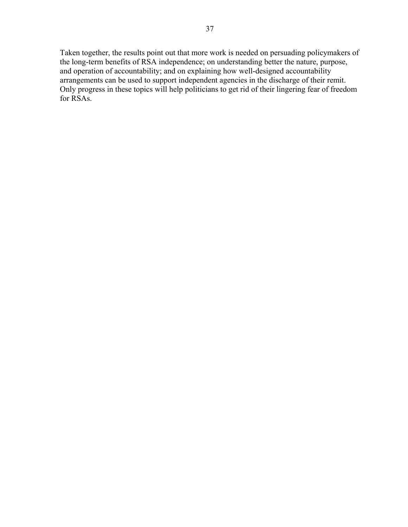Taken together, the results point out that more work is needed on persuading policymakers of the long-term benefits of RSA independence; on understanding better the nature, purpose, and operation of accountability; and on explaining how well-designed accountability arrangements can be used to support independent agencies in the discharge of their remit. Only progress in these topics will help politicians to get rid of their lingering fear of freedom for RSAs.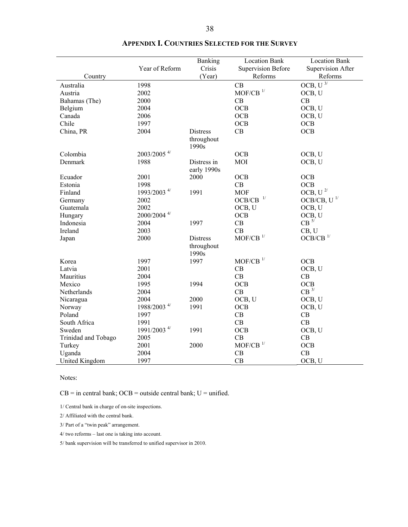|                               | Year of Reform            | Banking<br>Crisis   | <b>Location Bank</b><br><b>Supervision Before</b> | <b>Location Bank</b><br><b>Supervision After</b> |
|-------------------------------|---------------------------|---------------------|---------------------------------------------------|--------------------------------------------------|
| Country                       |                           | (Year)              | Reforms                                           | Reforms                                          |
| Australia                     | 1998                      |                     | CB                                                | OCB, $U^{3/}$                                    |
| Austria                       | 2002                      |                     | $MOF/CB$ <sup>1/</sup>                            | OCB, U                                           |
| Bahamas (The)                 | 2000                      |                     | CB                                                | CB                                               |
| Belgium                       | 2004                      |                     | <b>OCB</b>                                        | OCB, U                                           |
| Canada                        | 2006                      |                     | <b>OCB</b>                                        | OCB, U                                           |
| Chile                         | 1997                      |                     | <b>OCB</b>                                        | OCB                                              |
| China, PR                     | 2004                      | <b>Distress</b>     | CB                                                | <b>OCB</b>                                       |
|                               |                           | throughout<br>1990s |                                                   |                                                  |
| Colombia                      | 2003/2005 4/              |                     | OCB                                               | OCB, U                                           |
| Denmark                       | 1988                      | Distress in         | MOI                                               | OCB, U                                           |
|                               |                           | early 1990s         |                                                   |                                                  |
| Ecuador                       | 2001                      | 2000                | <b>OCB</b>                                        | <b>OCB</b>                                       |
| Estonia                       | 1998                      |                     | CB                                                | OCB                                              |
| Finland                       | 1993/2003 <sup>4/</sup>   | 1991                | <b>MOF</b>                                        | OCB, U <sup>2/</sup>                             |
| Germany                       | 2002                      |                     | $OCB/CB$ $\,$ $^{1/}$                             | $OCB/CB$ , U <sup>1/</sup>                       |
| Guatemala                     | 2002                      |                     | OCB, U                                            | OCB, U                                           |
| Hungary                       | $2000/2004$ <sup>4/</sup> |                     | OCB                                               | OCB, U                                           |
| Indonesia                     | 2004                      | 1997                | CB                                                | $CB^{5/}$                                        |
| Ireland                       | 2003                      |                     | CB                                                | CB, U                                            |
| Japan                         | 2000                      | <b>Distress</b>     | $\rm MOF/CB$ $^{1/}$                              | $OCB/CB$ $^{1\prime}$                            |
|                               |                           | throughout<br>1990s |                                                   |                                                  |
| Korea                         | 1997                      | 1997                | $\text{MOF/CB}$ $^{1\prime}$                      | OCB                                              |
| Latvia                        | 2001                      |                     | CB                                                | OCB, U                                           |
| Mauritius                     | 2004                      |                     | CB                                                | CB                                               |
| Mexico                        | 1995                      | 1994                | <b>OCB</b>                                        | <b>OCB</b>                                       |
| Netherlands                   | 2004                      |                     | CB                                                | $CB$ <sup>3/</sup>                               |
| Nicaragua                     | 2004                      | 2000                | OCB, U                                            | OCB, U                                           |
|                               | 1988/2003 <sup>4/</sup>   | 1991                | <b>OCB</b>                                        | OCB, U                                           |
| Norway<br>Poland              | 1997                      |                     | CB                                                | CB                                               |
| South Africa                  | 1991                      |                     | CB                                                | CB                                               |
|                               | 1991/2003 <sup>4/</sup>   | 1991                |                                                   |                                                  |
| Sweden                        | 2005                      |                     | OCB<br>CB                                         | OCB, U<br>CB                                     |
| Trinidad and Tobago<br>Turkey | 2001                      | 2000                | $MOF/CB$ <sup>1/</sup>                            | <b>OCB</b>                                       |
|                               |                           |                     | CB                                                | CB                                               |
| Uganda                        | 2004                      |                     |                                                   |                                                  |
| United Kingdom                | 1997                      |                     | CB                                                | OCB, U                                           |

|  |  |  | <b>APPENDIX I. COUNTRIES SELECTED FOR THE SURVEY</b> |
|--|--|--|------------------------------------------------------|
|--|--|--|------------------------------------------------------|

Notes:

 $CB =$  in central bank; OCB = outside central bank;  $U =$  unified.

1/ Central bank in charge of on-site inspections.

2/ Affiliated with the central bank.

3/ Part of a "twin peak" arrangement.

4/ two reforms – last one is taking into account.

5/ bank supervision will be transferred to unified supervisor in 2010.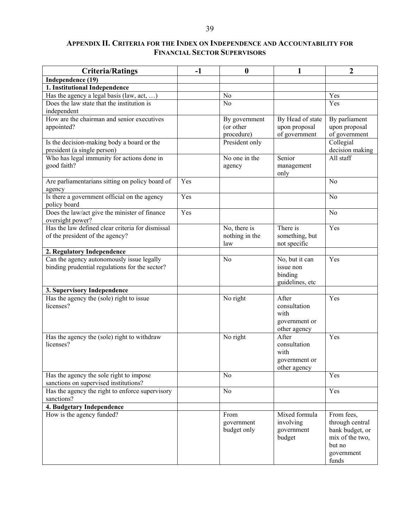#### **APPENDIX II. CRITERIA FOR THE INDEX ON INDEPENDENCE AND ACCOUNTABILITY FOR FINANCIAL SECTOR SUPERVISORS**

| <b>Criteria/Ratings</b>                                                 | $-1$ | $\boldsymbol{0}$ | 1                | $\overline{2}$      |
|-------------------------------------------------------------------------|------|------------------|------------------|---------------------|
| Independence (19)                                                       |      |                  |                  |                     |
| 1. Institutional Independence                                           |      |                  |                  |                     |
| Has the agency a legal basis (law, act, )                               |      | No               |                  | Yes                 |
| Does the law state that the institution is<br>independent               |      | N <sub>o</sub>   |                  | Yes                 |
| How are the chairman and senior executives                              |      | By government    | By Head of state | By parliament       |
| appointed?                                                              |      | (or other        | upon proposal    | upon proposal       |
|                                                                         |      | procedure)       | of government    | of government       |
| Is the decision-making body a board or the                              |      | President only   |                  | Collegial           |
| president (a single person)                                             |      |                  |                  | decision making     |
| Who has legal immunity for actions done in                              |      | No one in the    | Senior           | All staff           |
| good faith?                                                             |      | agency           | management       |                     |
|                                                                         |      |                  | only             |                     |
| Are parliamentarians sitting on policy board of                         | Yes  |                  |                  | N <sub>0</sub>      |
| agency                                                                  |      |                  |                  |                     |
| Is there a government official on the agency                            | Yes  |                  |                  | N <sub>0</sub>      |
| policy board                                                            |      |                  |                  |                     |
| Does the law/act give the minister of finance                           | Yes  |                  |                  | N <sub>0</sub>      |
| oversight power?                                                        |      |                  |                  |                     |
| Has the law defined clear criteria for dismissal                        |      | No, there is     | There is         | Yes                 |
| of the president of the agency?                                         |      | nothing in the   | something, but   |                     |
|                                                                         |      | law              | not specific     |                     |
| 2. Regulatory Independence                                              |      |                  |                  |                     |
| Can the agency autonomously issue legally                               |      | N <sub>0</sub>   | No, but it can   | Yes                 |
| binding prudential regulations for the sector?                          |      |                  | issue non        |                     |
|                                                                         |      |                  | binding          |                     |
|                                                                         |      |                  | guidelines, etc  |                     |
| 3. Supervisory Independence<br>Has the agency the (sole) right to issue |      | No right         | After            | Yes                 |
| licenses?                                                               |      |                  | consultation     |                     |
|                                                                         |      |                  | with             |                     |
|                                                                         |      |                  | government or    |                     |
|                                                                         |      |                  | other agency     |                     |
| Has the agency the (sole) right to withdraw                             |      | No right         | After            | Yes                 |
| licenses?                                                               |      |                  | consultation     |                     |
|                                                                         |      |                  | with             |                     |
|                                                                         |      |                  | government or    |                     |
|                                                                         |      |                  | other agency     |                     |
| Has the agency the sole right to impose                                 |      | No               |                  | Yes                 |
| sanctions on supervised institutions?                                   |      |                  |                  |                     |
| Has the agency the right to enforce supervisory                         |      | No               |                  | Yes                 |
| sanctions?                                                              |      |                  |                  |                     |
| 4. Budgetary Independence                                               |      |                  |                  |                     |
| How is the agency funded?                                               |      | From             | Mixed formula    | From fees,          |
|                                                                         |      | government       | involving        | through central     |
|                                                                         |      | budget only      | government       | bank budget, or     |
|                                                                         |      |                  | budget           | mix of the two,     |
|                                                                         |      |                  |                  | but no              |
|                                                                         |      |                  |                  | government<br>funds |
|                                                                         |      |                  |                  |                     |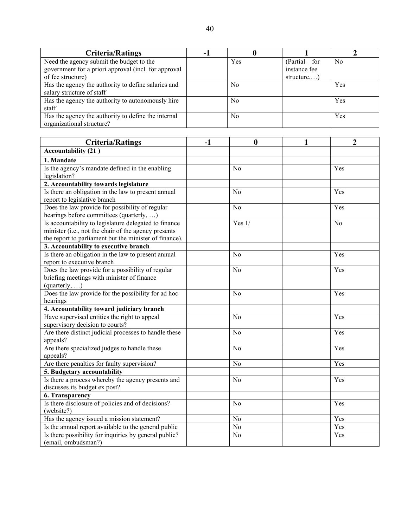| <b>Criteria/Ratings</b>                                                                                               | ۰. |     |                                                 |                |
|-----------------------------------------------------------------------------------------------------------------------|----|-----|-------------------------------------------------|----------------|
| Need the agency submit the budget to the<br>government for a priori approval (incl. for approval<br>of fee structure) |    | Yes | $(Partial - for$<br>instance fee<br>structure,) | N <sub>0</sub> |
| Has the agency the authority to define salaries and<br>salary structure of staff                                      |    | No  |                                                 | Yes            |
| Has the agency the authority to autonomously hire<br>staff                                                            |    | No  |                                                 | Yes            |
| Has the agency the authority to define the internal<br>organizational structure?                                      |    | No  |                                                 | Yes            |

| <b>Criteria/Ratings</b>                                | $-1$ | $\boldsymbol{0}$ | 1 | $\overline{2}$ |
|--------------------------------------------------------|------|------------------|---|----------------|
| <b>Accountability (21)</b>                             |      |                  |   |                |
| 1. Mandate                                             |      |                  |   |                |
| Is the agency's mandate defined in the enabling        |      | N <sub>o</sub>   |   | Yes            |
| legislation?                                           |      |                  |   |                |
| 2. Accountability towards legislature                  |      |                  |   |                |
| Is there an obligation in the law to present annual    |      | N <sub>o</sub>   |   | Yes            |
| report to legislative branch                           |      |                  |   |                |
| Does the law provide for possibility of regular        |      | N <sub>o</sub>   |   | Yes            |
| hearings before committees (quarterly, )               |      |                  |   |                |
| Is accountability to legislature delegated to finance  |      | Yes $1/$         |   | N <sub>o</sub> |
| minister (i.e., not the chair of the agency presents   |      |                  |   |                |
| the report to parliament but the minister of finance). |      |                  |   |                |
| 3. Accountability to executive branch                  |      |                  |   |                |
| Is there an obligation in the law to present annual    |      | N <sub>o</sub>   |   | Yes            |
| report to executive branch                             |      |                  |   |                |
| Does the law provide for a possibility of regular      |      | N <sub>0</sub>   |   | Yes            |
| briefing meetings with minister of finance             |      |                  |   |                |
| $(quarterly, \ldots)$                                  |      |                  |   |                |
| Does the law provide for the possibility for ad hoc    |      | N <sub>o</sub>   |   | Yes            |
| hearings                                               |      |                  |   |                |
| 4. Accountability toward judiciary branch              |      |                  |   |                |
| Have supervised entities the right to appeal           |      | N <sub>o</sub>   |   | Yes            |
| supervisory decision to courts?                        |      |                  |   |                |
| Are there distinct judicial processes to handle these  |      | N <sub>o</sub>   |   | Yes            |
| appeals?                                               |      |                  |   |                |
| Are there specialized judges to handle these           |      | N <sub>o</sub>   |   | Yes            |
| appeals?                                               |      |                  |   |                |
| Are there penalties for faulty supervision?            |      | N <sub>o</sub>   |   | Yes            |
| 5. Budgetary accountability                            |      |                  |   |                |
| Is there a process whereby the agency presents and     |      | No               |   | Yes            |
| discusses its budget ex post?                          |      |                  |   |                |
| 6. Transparency                                        |      |                  |   |                |
| Is there disclosure of policies and of decisions?      |      | N <sub>o</sub>   |   | Yes            |
| (website?)                                             |      |                  |   |                |
| Has the agency issued a mission statement?             |      | N <sub>0</sub>   |   | Yes            |
| Is the annual report available to the general public   |      | N <sub>o</sub>   |   | Yes            |
| Is there possibility for inquiries by general public?  |      | N <sub>o</sub>   |   | Yes            |
| (email, ombudsman?)                                    |      |                  |   |                |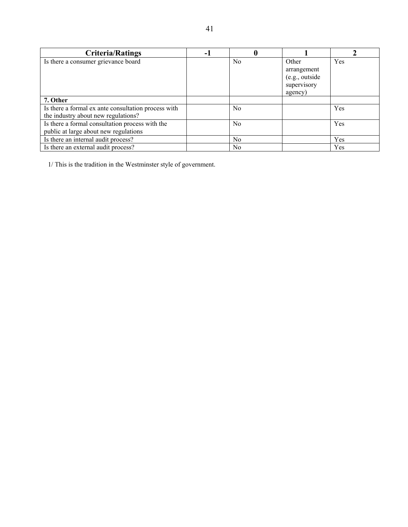| <b>Criteria/Ratings</b>                                                                    | -1 |                |                                                                  |     |
|--------------------------------------------------------------------------------------------|----|----------------|------------------------------------------------------------------|-----|
| Is there a consumer grievance board                                                        |    | No             | Other<br>arrangement<br>(e.g., outside<br>supervisory<br>agency) | Yes |
| 7. Other                                                                                   |    |                |                                                                  |     |
| Is there a formal ex ante consultation process with<br>the industry about new regulations? |    | N <sub>0</sub> |                                                                  | Yes |
| Is there a formal consultation process with the<br>public at large about new regulations   |    | N <sub>0</sub> |                                                                  | Yes |
| Is there an internal audit process?                                                        |    | No             |                                                                  | Yes |
| Is there an external audit process?                                                        |    | N <sub>0</sub> |                                                                  | Yes |

1/ This is the tradition in the Westminster style of government.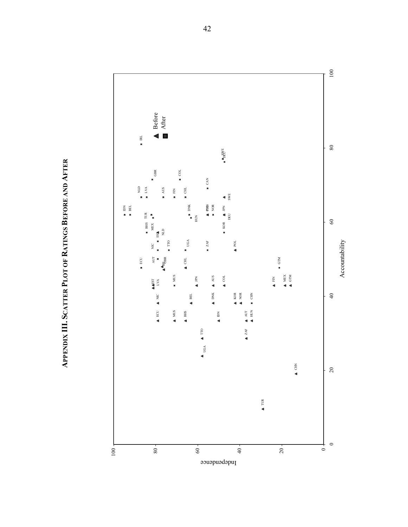**APPENDIX III. SCATTER PLOT OF RATINGS BEFORE AND APPENDIX III. SCATTER PLOT OF RATINGS BEFORE AND AFTER** 

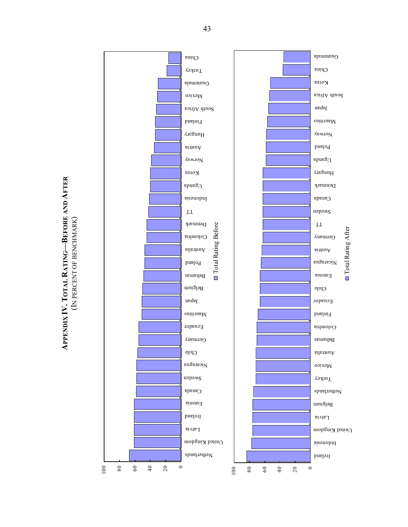# **AFTER RATING—BEFORE AND**  (IN PERCENT OF BENCHMARK) (IN PERCENT OF BENCHMARK) **TOTAL APPENDIX IV.**

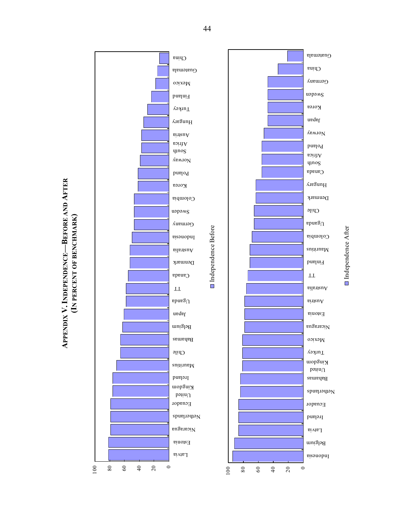





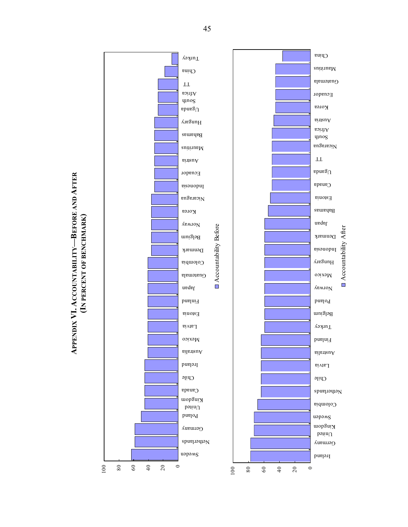

# **APPENDIX VI. ACCOUNTABILITY—BEFORE AND APPENDIX VI. ACCOUNTABILITY-BEFORE AND AFTER**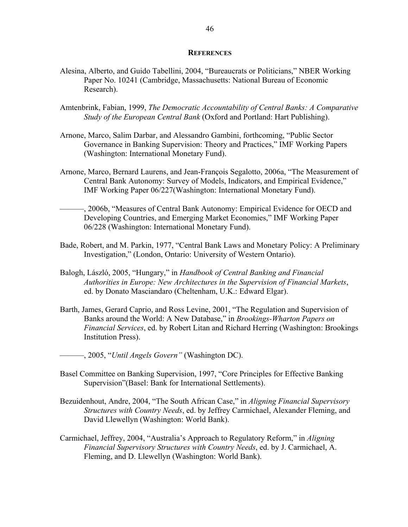#### **REFERENCES**

- Alesina, Alberto, and Guido Tabellini, 2004, "Bureaucrats or Politicians," NBER Working Paper No. 10241 (Cambridge, Massachusetts: National Bureau of Economic Research).
- Amtenbrink, Fabian, 1999, *The Democratic Accountability of Central Banks: A Comparative Study of the European Central Bank* (Oxford and Portland: Hart Publishing).
- Arnone, Marco, Salim Darbar, and Alessandro Gambini, forthcoming, "Public Sector Governance in Banking Supervision: Theory and Practices," IMF Working Papers (Washington: International Monetary Fund).
- Arnone, Marco, Bernard Laurens, and Jean-François Segalotto, 2006a, "The Measurement of Central Bank Autonomy: Survey of Models, Indicators, and Empirical Evidence," IMF Working Paper 06/227(Washington: International Monetary Fund).
- ———, 2006b, "Measures of Central Bank Autonomy: Empirical Evidence for OECD and Developing Countries, and Emerging Market Economies," IMF Working Paper 06/228 (Washington: International Monetary Fund).
- Bade, Robert, and M. Parkin, 1977, "Central Bank Laws and Monetary Policy: A Preliminary Investigation," (London, Ontario: University of Western Ontario).
- Balogh, László, 2005, "Hungary," in *Handbook of Central Banking and Financial Authorities in Europe: New Architectures in the Supervision of Financial Markets*, ed. by Donato Masciandaro (Cheltenham, U.K.: Edward Elgar).
- Barth, James, Gerard Caprio, and Ross Levine, 2001, "The Regulation and Supervision of Banks around the World: A New Database," in *Brookings-Wharton Papers on Financial Services*, ed. by Robert Litan and Richard Herring (Washington: Brookings Institution Press).
- ———, 2005, "*Until Angels Govern"* (Washington DC).
- Basel Committee on Banking Supervision, 1997, "Core Principles for Effective Banking Supervision"(Basel: Bank for International Settlements).
- Bezuidenhout, Andre, 2004, "The South African Case," in *Aligning Financial Supervisory Structures with Country Needs*, ed. by Jeffrey Carmichael, Alexander Fleming, and David Llewellyn (Washington: World Bank).
- Carmichael, Jeffrey, 2004, "Australia's Approach to Regulatory Reform," in *Aligning Financial Supervisory Structures with Country Needs*, ed. by J. Carmichael, A. Fleming, and D. Llewellyn (Washington: World Bank).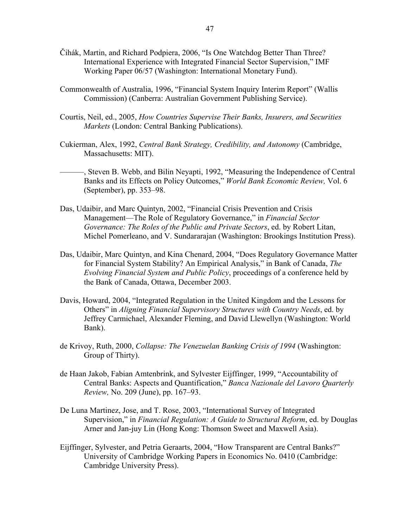- Čihák, Martin, and Richard Podpiera, 2006, "Is One Watchdog Better Than Three? International Experience with Integrated Financial Sector Supervision," IMF Working Paper 06/57 (Washington: International Monetary Fund).
- Commonwealth of Australia, 1996, "Financial System Inquiry Interim Report" (Wallis Commission) (Canberra: Australian Government Publishing Service).
- Courtis, Neil, ed., 2005, *How Countries Supervise Their Banks, Insurers, and Securities Markets* (London: Central Banking Publications).
- Cukierman, Alex, 1992, *Central Bank Strategy, Credibility, and Autonomy* (Cambridge, Massachusetts: MIT).
- ———, Steven B. Webb, and Bilin Neyapti, 1992, "Measuring the Independence of Central Banks and its Effects on Policy Outcomes," *World Bank Economic Review,* Vol. 6 (September), pp. 353–98.
- Das, Udaibir, and Marc Quintyn, 2002, "Financial Crisis Prevention and Crisis Management—The Role of Regulatory Governance," in *Financial Sector Governance: The Roles of the Public and Private Sectors*, ed. by Robert Litan, Michel Pomerleano, and V. Sundararajan (Washington: Brookings Institution Press).
- Das, Udaibir, Marc Quintyn, and Kina Chenard, 2004, "Does Regulatory Governance Matter for Financial System Stability? An Empirical Analysis," in Bank of Canada, *The Evolving Financial System and Public Policy*, proceedings of a conference held by the Bank of Canada, Ottawa, December 2003.
- Davis, Howard, 2004, "Integrated Regulation in the United Kingdom and the Lessons for Others" in *Aligning Financial Supervisory Structures with Country Needs*, ed. by Jeffrey Carmichael, Alexander Fleming, and David Llewellyn (Washington: World Bank).
- de Krivoy, Ruth, 2000, *Collapse: The Venezuelan Banking Crisis of 1994* (Washington: Group of Thirty).
- de Haan Jakob, Fabian Amtenbrink, and Sylvester Eijffinger, 1999, "Accountability of Central Banks: Aspects and Quantification," *Banca Nazionale del Lavoro Quarterly Review,* No. 209 (June), pp. 167–93.
- De Luna Martinez, Jose, and T. Rose, 2003, "International Survey of Integrated Supervision," in *Financial Regulation: A Guide to Structural Reform*, ed. by Douglas Arner and Jan-juy Lin (Hong Kong: Thomson Sweet and Maxwell Asia).
- Eijffinger, Sylvester, and Petria Geraarts, 2004, "How Transparent are Central Banks?" University of Cambridge Working Papers in Economics No. 0410 (Cambridge: Cambridge University Press).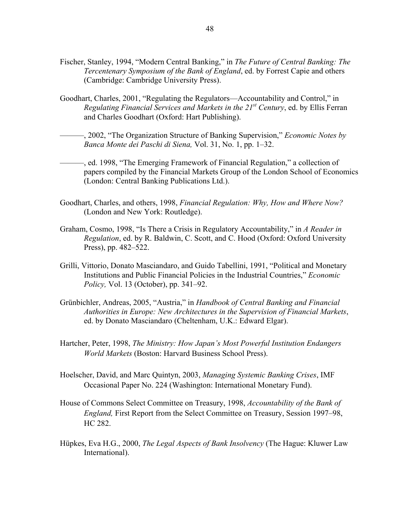- Fischer, Stanley, 1994, "Modern Central Banking," in *The Future of Central Banking: The Tercentenary Symposium of the Bank of England*, ed. by Forrest Capie and others (Cambridge: Cambridge University Press).
- Goodhart, Charles, 2001, "Regulating the Regulators—Accountability and Control," in *Regulating Financial Services and Markets in the 21st Century*, ed. by Ellis Ferran and Charles Goodhart (Oxford: Hart Publishing).
- ———, 2002, "The Organization Structure of Banking Supervision," *Economic Notes by Banca Monte dei Paschi di Siena,* Vol. 31, No. 1, pp. 1–32.
- ———, ed. 1998, "The Emerging Framework of Financial Regulation," a collection of papers compiled by the Financial Markets Group of the London School of Economics (London: Central Banking Publications Ltd.).
- Goodhart, Charles, and others, 1998, *Financial Regulation: Why, How and Where Now?*  (London and New York: Routledge).
- Graham, Cosmo, 1998, "Is There a Crisis in Regulatory Accountability," in *A Reader in Regulation*, ed. by R. Baldwin, C. Scott, and C. Hood (Oxford: Oxford University Press), pp. 482–522.
- Grilli, Vittorio, Donato Masciandaro, and Guido Tabellini, 1991, "Political and Monetary Institutions and Public Financial Policies in the Industrial Countries," *Economic Policy,* Vol. 13 (October), pp. 341–92.
- Grünbichler, Andreas, 2005, "Austria," in *Handbook of Central Banking and Financial Authorities in Europe: New Architectures in the Supervision of Financial Markets*, ed. by Donato Masciandaro (Cheltenham, U.K.: Edward Elgar).
- Hartcher, Peter, 1998, *The Ministry: How Japan's Most Powerful Institution Endangers World Markets* (Boston: Harvard Business School Press).
- Hoelscher, David, and Marc Quintyn, 2003, *Managing Systemic Banking Crises*, IMF Occasional Paper No. 224 (Washington: International Monetary Fund).
- House of Commons Select Committee on Treasury, 1998, *Accountability of the Bank of England,* First Report from the Select Committee on Treasury, Session 1997–98, HC 282.
- Hüpkes, Eva H.G., 2000, *The Legal Aspects of Bank Insolvency* (The Hague: Kluwer Law International).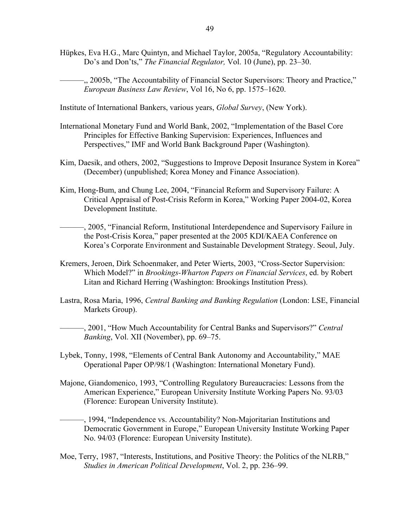Hüpkes, Eva H.G., Marc Quintyn, and Michael Taylor, 2005a, "Regulatory Accountability: Do's and Don'ts," *The Financial Regulator,* Vol. 10 (June), pp. 23–30.

———,, 2005b, "The Accountability of Financial Sector Supervisors: Theory and Practice," *European Business Law Review*, Vol 16, No 6, pp. 1575–1620.

Institute of International Bankers, various years, *Global Survey*, (New York).

- International Monetary Fund and World Bank, 2002, "Implementation of the Basel Core Principles for Effective Banking Supervision: Experiences, Influences and Perspectives," IMF and World Bank Background Paper (Washington).
- Kim, Daesik, and others, 2002, "Suggestions to Improve Deposit Insurance System in Korea" (December) (unpublished; Korea Money and Finance Association).
- Kim, Hong-Bum, and Chung Lee, 2004, "Financial Reform and Supervisory Failure: A Critical Appraisal of Post-Crisis Reform in Korea," Working Paper 2004-02, Korea Development Institute.
- ———, 2005, "Financial Reform, Institutional Interdependence and Supervisory Failure in the Post-Crisis Korea," paper presented at the 2005 KDI/KAEA Conference on Korea's Corporate Environment and Sustainable Development Strategy. Seoul, July.
- Kremers, Jeroen, Dirk Schoenmaker, and Peter Wierts, 2003, "Cross-Sector Supervision: Which Model?" in *Brookings-Wharton Papers on Financial Services*, ed. by Robert Litan and Richard Herring (Washington: Brookings Institution Press).
- Lastra, Rosa Maria, 1996, *Central Banking and Banking Regulation* (London: LSE, Financial Markets Group).
	- ———, 2001, "How Much Accountability for Central Banks and Supervisors?" *Central Banking*, Vol. XII (November), pp. 69–75.
- Lybek, Tonny, 1998, "Elements of Central Bank Autonomy and Accountability," MAE Operational Paper OP/98/1 (Washington: International Monetary Fund).
- Majone, Giandomenico, 1993, "Controlling Regulatory Bureaucracies: Lessons from the American Experience," European University Institute Working Papers No. 93/03 (Florence: European University Institute).
	- ———, 1994, "Independence vs. Accountability? Non-Majoritarian Institutions and Democratic Government in Europe," European University Institute Working Paper No. 94/03 (Florence: European University Institute).
- Moe, Terry, 1987, "Interests, Institutions, and Positive Theory: the Politics of the NLRB," *Studies in American Political Development*, Vol. 2, pp. 236–99.